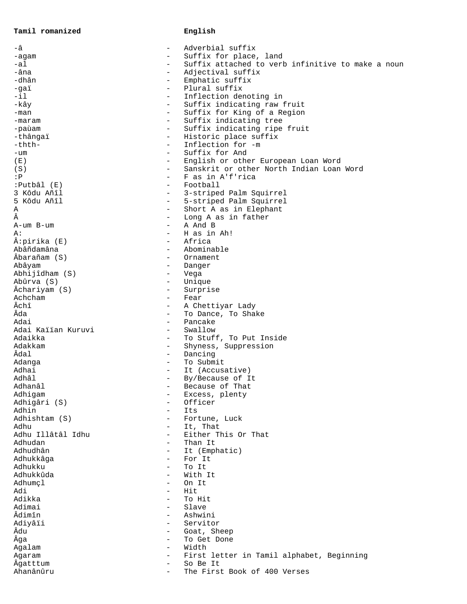**Tamil romanized English**

| -â                 |                          | Adverbial suffix                                  |
|--------------------|--------------------------|---------------------------------------------------|
| -agam              | $\qquad \qquad -$        | Suffix for place, land                            |
| -al                | $\qquad \qquad -$        | Suffix attached to verb infinitive to make a noun |
| -âna               | $\overline{\phantom{m}}$ | Adjectival suffix                                 |
| -dhân              | $-$                      | Emphatic suffix                                   |
| -gaï               | $-$                      | Plural suffix                                     |
| $-11$              | $\overline{\phantom{m}}$ | Inflection denoting in                            |
| -kây               | $\overline{\phantom{m}}$ | Suffix indicating raw fruit                       |
| -man               | $-$                      | Suffix for King of a Region                       |
| -maram             | $\overline{\phantom{0}}$ | Suffix indicating tree                            |
| -paùam             | $\overline{\phantom{a}}$ | Suffix indicating ripe fruit                      |
| -thângaï           | $\overline{\phantom{a}}$ | Historic place suffix                             |
| -thth-             | $\qquad \qquad -$        | Inflection for -m                                 |
|                    | $\overline{\phantom{0}}$ | Suffix for And                                    |
| -um                |                          |                                                   |
| (E)                | $\overline{\phantom{a}}$ | English or other European Loan Word               |
| (S)                | $\overline{\phantom{a}}$ | Sanskrit or other North Indian Loan Word          |
| : P                |                          | F as in A'f'rica                                  |
| :Putbâl (E)        |                          | Football                                          |
| 3 Kôdu Añîl        | $\qquad \qquad -$        | 3-striped Palm Squirrel                           |
| 5 Kôdu Añîl        | $-$                      | 5-striped Palm Squirrel                           |
| Α                  | $\overline{\phantom{a}}$ | Short A as in Elephant                            |
| Â                  | $\overline{\phantom{0}}$ | Long A as in father                               |
| A-um B-um          |                          | A And B                                           |
| А:                 |                          | H as in Ah!                                       |
| Â:pirika (E)       |                          | Africa                                            |
| Abâñdamâna         |                          | Abominable                                        |
| Âbarañam (S)       |                          | Ornament                                          |
| Abâyam             | $\overline{\phantom{m}}$ | Danger                                            |
| Abhijîdham (S)     | $\overline{\phantom{a}}$ | Vega                                              |
| Abûrva (S)         | $\overline{\phantom{0}}$ | Unique                                            |
| Âchariyam (S)      | $-$                      | Surprise                                          |
| Achcham            | $\overline{\phantom{m}}$ | Fear                                              |
| Âchî               | $\overline{\phantom{a}}$ |                                                   |
| Âda                |                          | A Chettiyar Lady                                  |
|                    |                          | To Dance, To Shake                                |
| Adai               | $\overline{\phantom{0}}$ | Pancake                                           |
| Adai Kaiïan Kuruvi | $\overline{\phantom{a}}$ | Swallow                                           |
| Adaikka            | $\overline{\phantom{m}}$ | To Stuff, To Put Inside                           |
| Adakkam            | $\overline{\phantom{a}}$ | Shyness, Suppression                              |
| Âdal               | $\overline{\phantom{a}}$ | Dancing                                           |
| Adanga             | $\overline{\phantom{m}}$ | To Submit                                         |
| Adhai              | $\qquad \qquad -$        | It (Accusative)                                   |
| Adhâl              |                          | By/Because of It                                  |
| Adhanâl            |                          | Because of That                                   |
| Adhigam            | $\overline{\phantom{m}}$ | Excess, plenty                                    |
| Adhigâri (S)       | $\overline{\phantom{0}}$ | Officer                                           |
| Adhin              |                          | Its                                               |
| Adhishtam (S)      |                          | Fortune, Luck                                     |
| Adhu               | $\overline{\phantom{0}}$ | It, That                                          |
| Adhu Illâtâl Idhu  | $\overline{\phantom{0}}$ | Either This Or That                               |
| Adhudan            | $-$                      | Than It                                           |
| Adhudhân           | $\overline{\phantom{0}}$ | It (Emphatic)                                     |
| Adhukkâga          | $\qquad \qquad -$        | For It                                            |
| Adhukku            | $\overline{\phantom{a}}$ | To It                                             |
| Adhukkûda          | $\overline{\phantom{0}}$ | With It                                           |
| Adhumçl            | $\overline{\phantom{0}}$ | On It                                             |
| Adi                | $\overline{\phantom{0}}$ | Hit                                               |
| Adikka             | $\overline{\phantom{m}}$ | To Hit                                            |
| Adimai             | $\overline{\phantom{0}}$ | Slave                                             |
| Âdimîn             | $\overline{\phantom{0}}$ | Ashwini                                           |
|                    | $\overline{\phantom{0}}$ |                                                   |
| Adiyâïi<br>Âdu     |                          | Servitor                                          |
|                    | $\qquad \qquad -$        | Goat, Sheep                                       |
| Âga                | $\overline{\phantom{0}}$ | To Get Done                                       |
| Agalam             | $\qquad \qquad -$        | Width                                             |
| Agaram             | $\overline{\phantom{a}}$ | First letter in Tamil alphabet, Beginning         |
| Âgatttum           | $\overline{\phantom{m}}$ | So Be It                                          |
| Ahanânûru          |                          | The First Book of 400 Verses                      |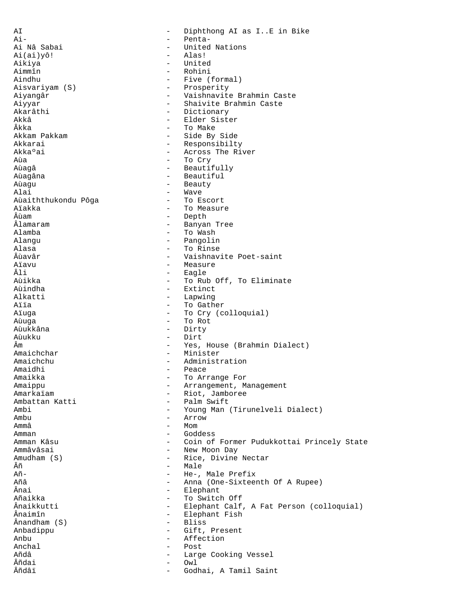AI - Diphthong AI as I..E in Bike<br>Ai- - Penta-Ai- - Penta-- United Nations<br>- Alas!  $Ai(ai)yô!$ Aikiya - United Aimmîn - Rohini - Five (formal) Aisvariyam (S) - Prosperity - Vaishnavite Brahmin Caste Aiyyar - Shaivite Brahmin Caste<br>Akarâthi - Dictionary - Shaivite Brahmin Caste Akarâthi - Dictionary - Akarâthi - Dictionary<br>Akkâ - Elder Sist Akkâ - Elder Sister<br>Âkka - Elder Sister<br>- To Make Âkka - To Make - Side By Side Akkarai - Responsibilty<br>Akka°ai - Across The Ri Akka°ai - Across The River<br>Aùa - Across The River Aùa - To Cry<br>Aùagâ - To Cry - To Cry - Beautifully<br>- Beautiful Aùagâna - Beautiful<br>Aùagu - Beautiful - Beauty Aùagu - Beauty - Beauty - Beauty - Beauty - Beauty - Beauty - Beauty - Beauty - Beauty - Beauty - Beauty - Beauty - Beauty - Beauty - Beauty - Beauty - Beauty - Beauty - Beauty - Beauty - Beauty - Beauty - Beauty - Beauty - Wave<br>- To Escort Aùaiththukondu Pôga Aïakka - To Measure - To Measure - To Measure - To Measure - To Measure - To Measure - To Measure - To Measure Âùam - Depth Âlamaram - Banyan Tree - To Wash Alangu - Pangolin Alasa - To Rinse Âùavâr - Vaishnavite Poet-saint Aïavu - Measure - Measure<br>Âli - Eagle Âli - Eagle Aùikka - To Rub Off, To Eliminate Aùindha - Extinct Alkatti - Lapwing - Lapwing - Lapwing - Lapwing - Lapwing - Lapwing - Lapwing - Lapwing - Lapwing - Lapwing - - To Gather Aïuqa - To Cry (colloquial) Aùuga - To Rot Aùukkâna - Dirty Aùukku - Dirt<br>Âm - Yes. Âm - Yes, House (Brahmin Dialect) Amaichchar - Minister Amaichchu - Administration<br>Amaidhi - Peace - Peace Amaidhi - Peace - To Arrange For Amaippu - Arrangement, Management<br>Amarkaïam - Riot, Jamboree Amarkaïam - Riot, Jamboree<br>Ambattan Katti - Palm Swift - Palm Swift Ambi - Young Man (Tirunelveli Dialect) Ambu - Arrow - Arrow - Arrow - Arrow - Arrow - Arrow - Arrow - Arrow - Arrow - Arrow - Arrow - Arrow - Arrow - $-Mom$ Amman - Goddess Amman Kâsu - Coin of Former Pudukkottai Princely State - New Moon Day Amudham (S) - Rice, Divine Nectar<br>
Añ Âñ  $\overline{A}$ ñ - Male - Male - Male - Male - Male - Male - Male - Male - Male - Male - Male - Male - Male - Male - Male - Male - Male - Male - Male - Male - Male - Male - Male - Male - Male - Male - Male - Male - Male - Male Añ- - He-, Male Prefix Añâ - Anna (One-Sixteenth Of A Rupee)<br>Ânai - Elephant Ânai - Elephant Añaikka - To Switch Off<br>Ânaikkutti - To Switch Off Ânaikkutti - Elephant Calf, A Fat Person (colloquial) - Elephant Fish<br>- Bliss  $\hat{A}$ nandham  $(S)$ Anbadippu - Gift, Present Anbu - Affection Anchal - Post Añdâ - Large Cooking Vessel Âñdai - Owl Âñdâï - Godhai, A Tamil Saint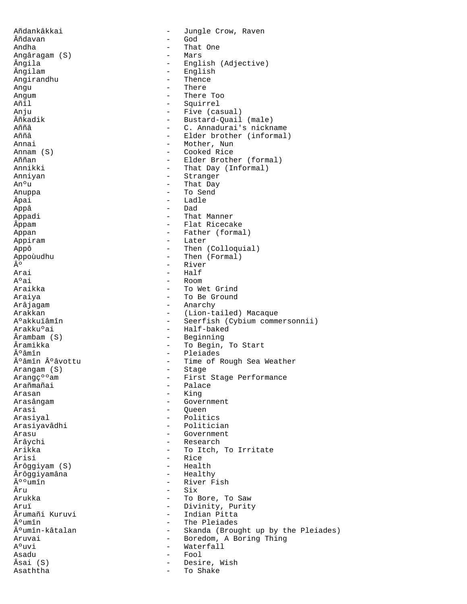Añdankâkkai - Jungle Crow, Raven Âñdavan - God Andha - That One Angâragam (S)<br>Ângila Ângila - English (Adjective)<br>Ângilam - - English - English<br>- Thence Angirandhu Angu - There - There - There - There - There - There - There - There - There - There - There - There - There -- There Too Añîl - Squirrel Anju - Five (casual)<br>
Añkadik - Bustard-Ouail Âñkadik - Bustard-Quail (male)<br>Aññâ - C. Annadurai's nickn Aññâ - C. Annadurai's nickname<br>Aññâ - Elder brother (informal - Elder brother (informal) Annai - Mother, Nun<br>Annam (S) - - Cooked Rice Annam (S) - Cooked Rice Aññan - Elder Brother (formal)<br>Annikki - That Day (Informal) - That Day (Informal) Anniyan - Stranger<br>An°u - That Day An°u - That Day<br>Anuppa - To Send Anuppa - To Send - Ladle Appâ - Dad Appadi - That Manner Appam - Flat Ricecake Appan - Father (formal) Appiram - Later Appô - Then (Colloquial) Appoùudhu  $\hat{A}$ o - Then (Formal)<br> $\hat{A}$ o - River º - River Arai - Half<br>A°ai - Room A°ai - Room - Room - Room<br>Araikka - To We - To Wet Grind Araiya - To Be Ground Arâjagam - Anarchy - Anarchy<br>Arakkan - (Lion-ta Arakkan - (Lion-tailed) Macaque<br>Aºakkuïâmîn - Seerfish (Cybium comme A°akkuïâmîn - Seerfish (Cybium commersonnii)<br>Arakku°ai - Half-baked - Half-baked Ârambam (S) - Beginning Âramikka - To Begin, To Start °âmîn - Pleiades<br>°âmîn °âvottu - Time of F - Time of Rough Sea Weather<br>- Stage Arangam (S)<br>Arang纺am Arang纺am - First Stage Performance<br>Arañmañai - - Palace Arañmañai - Palace - Palace - Palace - Palace - Palace - Palace - Palace - Palace - Palace - Palace - Palace -Arasan - King - Government Arasi - Queen Arasiyal - Politics - Politician Arasu - Government Ârâychi - Research Arikka - To Itch, To Irritate - Rice<br>- Health Ârôggiyam (S) - Health Ârôggiyamâna<br>°°umîn  $\hat{A}^{\text{o}}{}^{\text{o}}$ umîn - River Fish - River Fish - Six Âru - Six - Six - Six - Six - Six - Six - Six - Six - Six - Six - Six - Six - Six - Six - Six - Six - Six - Si - To Bore, To Saw Aruï - Divinity, Purity<br>Ârumañi Kuruvi - Indian Pitta Ârumañi Kuruvi - Indian Pitta<br>ºumîn - The Pleiades ºumîn - The Pleiades<br>ºumîn-kâtalan - Skanda (Brough - Skanda (Brought up by the Pleiades) Aruvai - Boredom, A Boring Thing<br>A°uvi - Waterfall Waterfall<br>Fool Asadu - Fool - Fool - Fool - Fool - Fool - Fool - Fool - Fool - Fool - Fool - Fool - Fool - Fool - Fool - Fool<br>Asal (S) - Desire, Wish<br>- To Shake Asaththa  $-$  To Shake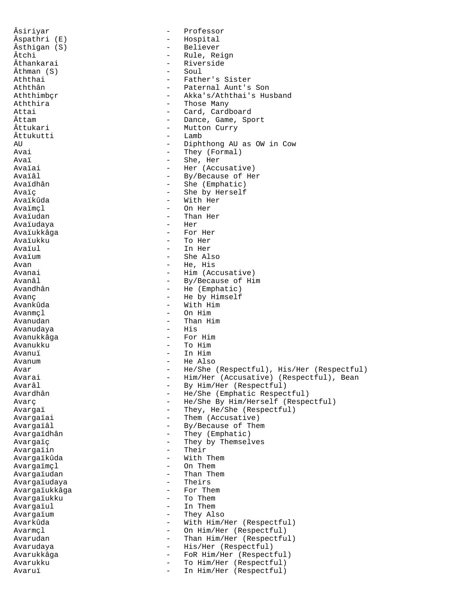Âsiriyar - Professor Âspathri (E) - Hospital Âsthigan (S) - Believer Âtchi - Rule, Reign<br>Âthankarai - Aiverside - Aiverside - Riverside<br>- Soul Âthman (S)<br>Aththai Aththai - Father's Sister Aththân - Paternal Aunt's Son<br>Aththimber - Akka's/Aththai's Hu - Akka's/Aththai's Husband Aththira  $-$  Those Many Attai - Card, Cardboard Âttam - Dance, Game, Sport<br>Âttukari - Mutton Curry - Mutton Curry<br>- Lamb  $\hat{A}$ ttukutti AU - Diphthong AU as OW in Cow Avai  $\overline{a}$  - They (Formal)<br> $\overline{a}$ vai  $\overline{a}$ Avaï - She, Her<br>Avaïai - Her (Accu Avaïai - Her (Accusative)<br>Avaïâl - By/Because of He Avaïâl - By/Because of Her Avaïdhân - She (Emphatic)<br>Avaïc - She by Herself Avaïç - She by Herself - With Her Avaïmçl - On Her - Than Her<br>- Her Avaïudaya - Her Avaïukkâga Avaïukku - To Her Avaïul - In Her Avaïum - She Also Avan - He, His<br>Avanai - Him (Ac) Avanai - Him (Accusative)<br>Avanâl - By/Because of Hi Avanâl - By/Because of Him - He (Emphatic) Avanç - He by Himself - With Him Avanmcl - On Him Avanudan - Than Him Avanudaya Avanukkâga - For Him Avanukku - To Him Avanuï - In Him Avanum - He Also Avar - He/She (Respectful), His/Her (Respectful)<br>Avarai - Him/Her (Accusative) (Respectful), Bean Avarai - Him/Her (Accusative) (Respectful), Bean<br>Avarâl - By Him/Her (Bespectful) Avarâl - By Him/Her (Respectful)<br>Avardhân - He/She (Emphatic Respec - He/She (Emphatic Respectful) Avarç <br/>
— He/She By Him/Herself (Respectful) Avargaï - They, He/She (Respectful)<br>Avargaïai - Them (Accusative) Avargaïai - Them (Accusative)<br>Avargaïâl - By/Because of The - By/Because of Them Avargaïdhân - They (Emphatic) Avargaïç - They by Themselves Avargaïin Avargaïkûda - With Them<br>Avargaïmcl - On Them Avargaïmçl - On Them Avargaïudan - Than T<br>Avargaïudava - Theirs Avargaïudaya - Theirs Avargaïukkâga<br>Avarqaïukku - To Them Avargaïul - In Them<br>Avargaïum - Thev Al: Avargaïum - They Also - With Him/Her (Respectful) Avarmçl - On Him/Her (Respectful) Avarudan - Than Him/Her (Respectful) Avarudaya  $-$  His/Her (Respectful) Avarukkâga - FoR Him/Her (Respectful) Avarukku - To Him/Her (Respectful)<br>Avarui - To Him/Her (Respectful) Avaruï - In Him/Her (Respectful)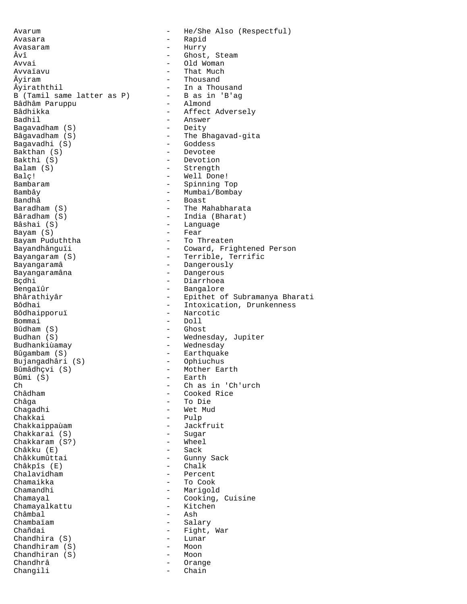Avarum - He/She Also (Respectful) Avasara - Rapid Avasaram - Hurry Âvî - Ghost, Steam Avvai - Old Woman Avvaïavu - That Much Âyiram - Thousand - Thousand - Thousand - Thousand - Thousand - Thousand - Thousand - Thousand - Thousand - Th B (Tamil same latter as P) - B as in<br>Bâdhâm Paruppu - Almond Bâdhâm Paruppu Bâdhikka - Affect Adversely<br>Badhil - Answer Bagavadham  $(S)$ Bâgavadham (S) - The Bhagavad-gita<br>Bagavadhi (S) - Goddess Bagavadhi (S)<br>Bakthan (S) Bakthan (S) - Devotee<br>Bakthi (S) - Devotion Bakthi (S) - Devotion Balam (S) - Strength Balç! - Well Done! Bambaram - Spinning Top Bambây - Mumbai/Bombay Bandhâ - Boast<br>Baradham (S) - The Ma Baradham (S) - The Mahabharata Bâradham (S) - India (Bharat)<br>Bâshai (S) - - Language Bayam  $(S)$ Bayam Puduththa  $-$  To Threaten Bayangaram (S) - Terrible, Terrific - Dangerously<br>Bayangaramâna - Dangerous<br>Bayangaramâna - Dangerous Bayangaramâna - Dangerous<br>Bçdhi - Diarrhoea Bçdhi - Diarrhoea Bengaïûr - Bangalore Bôdhaipporuï - Narcotic Bommai - Doll<br>Bûdham (S) - Ghost  $Bûdham(S)$ Budhan (S)  $-$  Wednesday, Jupiter Budhankiùamay - Wednesday Bûgambam (S) - Earthquake - Diangadhâri (S) - Ophiuchus<br>Bûmâdhçvi (S) - - Mother Ea Bûmâdhçvi (S) - Mother Earth<br>Bûmi (S) - Earth  $Bûmi (S)$  - Earth  $\overline{C}h$  - Ch as Ch - Ch as in 'Ch'urch<br>Châdham - Cooked Rice Châdham - Cooked Rice Chagadhi - Wet Mud Chakkai - Pulp<br>Chakkaippaùam - - Jackfruit Chakkaippaùam - Jackfruit Chakkarai (S) - Sugar Chakkaram (S?) - Wheel Châkku (E)<br>Châkkumûttai Châkpîs (E) - Chalk Chalavidham<br>Chamaikka Chamaikka - To Cook Chamandhi - Marigold - Marigold - Marigold - Cooking, Chamayalkattu<br>Châmbal Châmbal - Ash<br>Chambaiam - Sala Chambaïam - Salary Chandhira (S) - Lunar Chandhiram (S) - Moon<br>Chandhiran (S) - Moon  $Chandhiran(S)$  -Chandhrâ - Orange Changili - Chain

- In a Thousand<br>- B as in 'B'ag - Answer<br>- Deity - Language<br>- Fear Bayandhânguïi - Coward, Frightened Person - Epithet of Subramanya Bharati Bôdhai - Intoxication, Drunkenness - To Die - Gunny Sack<br>- Chalk - Cooking, Cuisine<br>- Kitchen - Fight, War<br>- Lunar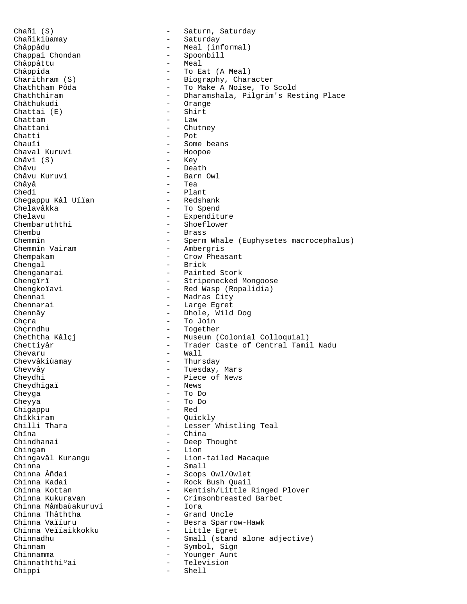Chañi (S) - Saturn, Saturday<br>Chañikiùamay - Saturday - Saturday - Saturday Châppâdu - Meal (informal)<br>Chappai Chondan - Spoonbill - Spoonbill - Spoonbill<br>- Meal Châppâttu<br>Châppida Châppida - To Eat (A Meal)<br>Charithram (S) - Biography, Char Charithram (S) - Biography, Character<br>Chaththam Pôda - - To Make A Noise, To J Chaththam Pôda - To Make A Noise, To Scold Chaththiram - Dharamshala, Pilgrim's Resting Place - Orange<br>- Shirt Chattai (E) - Shi<br>Chattam - Law Chattam<br>Chattani - Chutney Chatti - Pot Chauïi - Some beans<br>Chaval Kuruvi - Hoopoe Chaval Kuruvi - Hoopoe Châvi (S)<br>Châvu Châvu - Death - Death - Death - Death - Death - Death - Death - Death - Death - Death - Death - Death - Death -Châvu Kuruvi - Barn Owl<br>Châyâ - Tea Châyâ - Tea - Plant<br>- Redshank Chegappu Kâl Uïïan<br>Chelavâkka Chelavâkka - To Spend Chelavu - Expenditure Chembaruththi - Shoeflower<br>Chembu - Shoeflower<br>- Brass - Brass Chemmîn - Sperm Whale (Euphysetes macrocephalus)<br>Chemmîn Vairam - Ambergris - Ambergris Chempakam - Crow Pheasant Chengal - Brick<br>
Chenganarai - Painte Chenganarai - Painted Stork<br>Chengîrî - Stripenecked I Chengîrî - Stripenecked Mongoose<br>Chengkoïavi - - Red Wasp (Ropalidia) Chengkoïavi - Red Wasp (Ropalidia)<br>Chennai - Madras City Chennai - Madras City<br>Chennarai - Large Egret Chennarai - Large Egret<br>Chennâv - Phole Mild - Dhole, Wild Dog Chçra - To Join<br>Chçrndhu - To Hernahim - Together - Together Cheththa Kâlçj - Museum (Colonial Colloquial) Chettiyâr - Trader Caste of Central Tamil Nadu chevaru - Wall<br>Chevvâkiùamay - Thurs Chevvâkiùamay - Thursday Chevvây - Tuesday, Mars<br>
Cheydhi - Piece of News - Piece of News<br>- News Cheydhigaï<br>Cheyga Cheyga - To Do - To Do<br>- Red Chigappu Chîkkiram - Quickly<br>Chilli Thara - Lesser I - Lesser Whistling Teal Chîna - China Chindhanai - Deep Thought Chingam<br>
Chingavâl Kurangu<br>
- Lion-Chingavâl Kurangu - Lion-tailed Macaque Chinna - Small Chinna Âñdai - Scops Owl/Owlet Chinna Kadai - Rock Bush Quail Chinna Kottan - Kentish/Little Ringed Plover<br>Chinna Kukuravan - Crimsonbreasted Barbet - Crimsonbreasted Barbet<br>- Tora Chinna Mâmbaùakuruvi - Iora Chinna Thâththa<br>Chinna Vaiiuru Chinna Vaïïuru - - Besra Sparrow-Hawk<br>Chinna Veïïaikkokku - - Little Egret - Little Egret Chinnadhu - Small (stand alone adjective) Chinnam - Symbol, Sign Chinnamma<br>Chinnaththi°ai - Younger Aunt<br>- Television Chinnaththiºai - Televichinopi - Televichinopi - Shell Chippi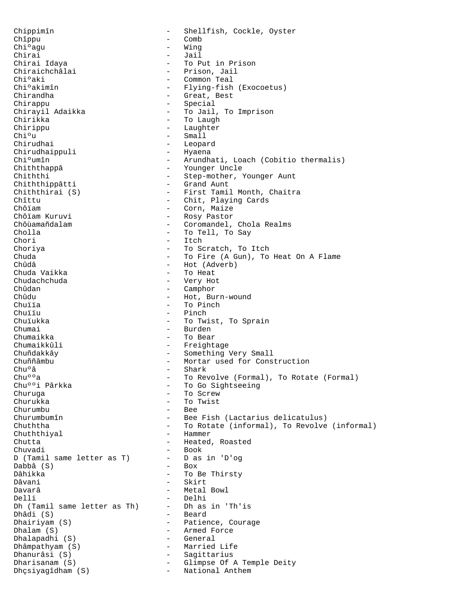Chippimîn - Shellfish, Cockle, Oyster Chîppu - Comb<br>Chi $^{\circ}$ aqu - Wing Chi $^{\circ}$ agu - Wing - Wing - Wing - Wing - Wing - Wing - Wing - Wing - Wing - Wing - Wing - Wing - Wing - Wing - Wing - Wing - Wing - Wing - Wing - Wing - Wing - Wing - Wing - Wing - Wing - Wing - Wing - Wing - Wing - Wing Chirai - Jail Chirai Idaya - To Put in Prison<br>Chiraichchâlai - - - - - - - Prison, Jail Chiraichchâlai - Prison, Jail<br>Chi°aki - Common Teal Chi<sup>o</sup>aki - Common Teal<br>Chi<sup>o</sup>akimîn - Flying-fish Chiºakimîn - Flying-fish (Exocoetus)<br>Chirandha - - Great, Best Chirandha - Great, Best Chirappu - Special Chirayil Adaikka - To Jail, To Imprison - To Laugh Chirippu - Laughter Chiºu - Small Chirudhai - Leopard<br>Chirudhaippuli - Hyaena Chirudhaippuli Chiºumîn - Arundhati, Loach (Cobitio thermalis)<br>Chiththappâ - Younger Uncle - Younger Uncle Chiththi<sup>-</sup><br>Chiththippâtti - Step-mother, Younger Aunt<br>Grand Aunt Chiththippâtti<br>Chiththirai (S) Chiththirai (S) - First Tamil Month, Chaitra<br>
- Chit, Plaving Cards Chîttu - Chit, Playing Cards<br>
Chôiam - Corn, Maize Chôïam - Corn, Maize Chôïam Kuruvi - Rosy Pastor<br>Chôùamañdalam - Coromandel, Chôùamañdalam - Coromandel, Chola Realms - To Tell, To Say Chori - Itch Choriya - To Scratch, To Itch Chuda - To Fire (A Gun), To Heat On A Flame Chûdâ - Hot (Adverb)<br>Chuda Vaikka - - - - To Heat Chuda Vaikka - To Heat Chudachchuda - Very Hot Chûdan - Camphor - Camphor - Camphor - Camphor - Camphor - Camphor - Camphor - Camphor - Camphor - Camphor - Camphor - Camphor - Camphor - Camphor - Camphor - Camphor - Camphor - Camphor - Camphor - Camphor - Camphor - Cam Chûdu - Hot, Burn-wound<br>Chuiïa - To Pinch Chuïïa - To Pinch Chuïïu - Pinch<br>Chuïukka - Philippine - Philippine Chuïukka - To Twist, To Sprain<br>Chumai - Hurden - Burden Chumaikka - To Bear Chumaikkûli - Freightage Chuñdakkây - Something Very Small Chuññâmbu - Mortar used for Construction<br>Chuºâ - Shark - Shark Chu<sup>o</sup>â - Shark - Shark<br>Chu<sup>o</sup>°a - To Rev Chuººa - To Revolve (Formal), To Rotate (Formal)<br>Chuººi Pârkka - To Go Sightseeing Chuººi Pârkka - To Go Sightseeing<br>Churuqa - To Screw Churuga - To Screw - To Twist Churumbu - Bee Churumbumîn - Bee Fish (Lactarius delicatulus) Chuththa  $-$  To Rotate (informal), To Revolve (informal) Chuththiyal - Hammer Chutta - Heated, Roasted Chuvadi - Book<br>D (Tamil same letter as T) - D as in 'D'og D (Tamil same letter as T) - D as <br>Dabbâ (S) - Box Dabbâ (S) Dâhikka - To Be Thirsty<br>Dâvani - Skirt - Skirt Davarâ - Metal Bowl Delli - Delhi Dh (Tamil same letter as Th) Dhâdi (S) - Beard Dhairiyam (S)  $\overline{\phantom{0}}$  - Patience, Courage Dhalam (S) - Armed Force<br>Dhalapadhi (S) - General Dhalapadhi (S) - General Dhâmpathyam (S) - Married Life Dhanurâsi (S) - Sagittarius Dharisanam (S) - Glimpse Of A Temple Deity Dhçsiyagîdham (S) - National Anthem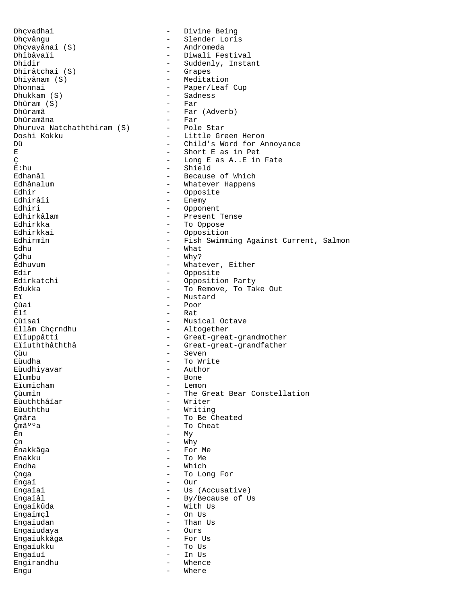Dhçvadhai - Divine Being Dhçvângu - Slender Loris<br>Dhçvayânai (S) - Andromeda Dhçvayânai (S)<br>Dhîbâvaïi Dhîbâvaïi - Diwali Festival<br>Dhidir - Suddenly, Insta - Suddenly, Instant<br>- Grapes Dhirâtchai (S)<br>Dhiyânam (S) Dhiyânam (S) - Meditation<br>Dhonnai - Paper/Leaf Dhonnai - Paper/Leaf Cup<br>Dhukkam (S) - Sadness - Sadness<br>- Far Dhûram (S)<br>Dhûramâ - Far (Adverb)<br>- Far Dhûramâna - Far<br>Dhuruva Natchaththiram (S) - - Pole Star Dhuruva Natchaththiram (S) Doshi Kokku - Little Green Heron - Little Green Heron - Little Green Heron - Child's Word for American American American American American American American American American American American American American American Am Dû - Child's Word for Annoyance<br>E - Short E as in Pet E - Short E as in Pet<br>
C - Long E as A..E in Ç - Long E as A..E in Fate E:hu - Shield<br>Edhanâl - Shield - Shield Edhanâl - Because of Which Edhânalum - Whatever Happens<br>Edhir - Opposite Edhir - Opposite Edhirâïi - Enemy<br>Edhiri - Copone Edhiri - Opponent Edhirkâlam - Present Tense<br>Edhirkka - To Oppose Edhirkka - To Oppose<br>Edhirkkai - Opposition Edhirkkai - Opposition<br>Edhirmîn - Fish Swimm Edhirmîn - Fish Swimming Against Current, Salmon<br>Edhu - What - What  $\begin{array}{ccc}\n\text{Edhu} & - & \text{What} \\
\text{Cdhu} & - & \text{Why?}\n\end{array}$ Cdhu - Why?<br>Edhuvum - What - What Edhuvum - Whatever, Either<br>Edir - Opposite Edir - Opposite Edirkatchi - Opposition Party<br>Edukka - To Remove, To Tal Edukka - To Remove, To Take Out<br>Fi Eï - Mustard<br>Cùai - Poor - Poor Çùai - Poor Elî - Rat<br>Cùisai - Mus Cùisai - Musical Octave - Musical Octave - Musical Octave - Musical Octave - Musical Octave - Musical Octave -- Altogether Eïïuppâtti - Great-great-grandmother Eïïuththâththâ - Great-great-grandfather Cùu - Seven<br>Cùudha - Seven - Seven<br>- To Wr: - To Write<br>- Author Eùudhiyavar<br>Elumbu Elumbu - Bone<br>Eïumicham - Lemo! - Lemo! Eïumicham - Lemon Çùumîn - The Great Bear Constellation eùuththâïar - Writer<br>Eùuththu - Writing Eùuththu - Writing<br>Cmâra - To Be C Çmâra - To Be Cheated - To Cheat  $\mathbb{E}$ n - My  $\verb|Cn|$  - Why - Why - Why - Why - Why - Why - Why - Why - Why - Why - Why - Why - Why - Why - Why - Why - Why - Why - Why - Why - Why - Why - Why - Why - Why - Why - Why - Why - Why - Why - Why - Why - Why - Why - Why - Enakkâga - For Me Enakku - To Me - Which Changer Changer (Changer Changer Changer Changer Changer Changer Changer Changer Changer Changer Changer Changer<br>
Changer Changer Changer Changer Changer Changer Changer Changer Changer Changer Changer Changer Changer Chan Engaï - Our<br>Engaïai - Our - Our Engaïai - Us (Accusative)<br>Engaïâl - By/Because of U - By/Because of Us Engaïkûda - With Us<br>Engaïmcl - On Us Engaïmçl - On Us - Than Us<br>- Ours Engaïudaya Engaïukkâga - For Us Engaïukku - To Us Engaïuï - In Us Engirandhu - Whence Whence Whence Whence Whence Whence Whence Whence Whence Whence Whence Whence Whence Whence<br>Englished Whence Whence Whence Whence Whence Whence Whence Whence Whence Whence Whence Whence Whence Whence Wh Engu - Where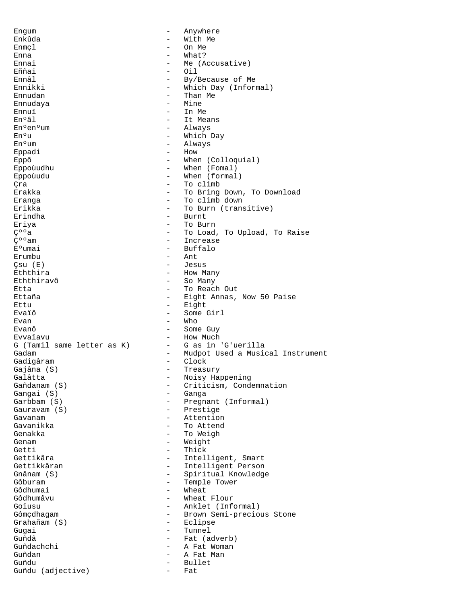Engum - Anywhere Enkûda - With Me Enmcl - On Me Enna - What? Ennai - Me (Accusative) Eññai - Oil Ennâl - By/Because of Me<br>
Ennikki - Mhich Day (Inform Ennikki - Which Day (Informal)<br>Ennudan - Than Me - Than Me<br>- Mine Ennudaya Ennuï - In Me  $En<sup>o</sup>âl$  - It Means  $\begin{array}{ccc}\n\texttt{En}^{\,\text{o}}\texttt{en}^{\,\text{o}}\texttt{um} & \hspace{1.5cm} -\texttt{Always} \\
\texttt{En}^{\,\text{o}}\texttt{u} & \hspace{1.5cm} -\texttt{Which}\n\end{array}$ - Which Day En°um - Always - Always - Always - Always - Always - Always - Always - Always - Always - Always - Always - Always - Always - Always - Always - Always - Always - Always - Always - Always - Always - Always - Always - Always Eppadi - How - How - How - How - How - How - How - How - How - How - How - How - How - How - How - How - How -Eppô - When (Colloquial) Eppoùudhu - When (Fomal) Eppoùudu - When (formal) Canal Crame (Canadian Crame - To climb)<br>Exakka - To Bring - To Bring Down, To Download Eranga  $-$  To climb down Erikka  $-$  To Burn (transitive) Erindha - Burnt Eriya  $-$  To Burn  $C^{00}a$   $-$  To Load. C<sup>oo</sup>a - To Load, To Upload, To Raise<br>C<sup>oo</sup>am - The Therease - Therease  $C^{\circ}$ <sup>o</sup>am - Increase<br>E°umai - Buffalo - Buffalo<br>- Ant Erumbu - Antonio Antonio Antonio Antonio Antonio Antonio Antonio Antonio Antonio Antonio Antonio Antonio Antonio Çsu (E) - Jesus Eththira - How Many - So Many Etta - To Reach Out<br>Ettaña - To Reach Out - To Reach Out - To Reach Out - To Reach Out - To Reach Out - To Reach Out - To Reach Out - Eight Annas, Now 50 Paise Ettu - Eight Evaïô - Some Girl Evan - Who<br>Evanô - Some - Some Guy Evvaïavu<br>G (Tamil same letter as K) - G as in 'G'uerilla G (Tamil same letter as K) Gadam - Mudpot Used a Musical Instrument<br>Gadigâram - - - - - - - Clock Gadigâram - Clock Gajâna (S) - Treasury Galâtta - Noisy Happening<br>Gañdanam (S) - Criticism, Cond Gañdanam (S) - Criticism, Condemnation Gangai (S) - Ganga - Pregnant (Informal) Gauravam (S) - Prestige Gavanam - Attention Gavanikka - To Attend Genakka - To Weigh Genam - Weight Getti - Thick - Thick<br>Gettikâra - Thick - Thick - Intelligent, Smart<br>- Intelligent Person Gettikkâran - Intelligent Person<br>Gnânam (S) - - Spiritual Knowledge Gnânam (S) - Spiritual Knowledge<br>Gôburam - Senegal - Temple Tower - Temple Tower<br>- Wheat Gôdhumai<br>Gôdhumâvu - Wheat Flour Goïusu - Anklet (Informal) Gômçdhagam - Brown Semi-precious Stone<br>Grahañam (S) - Eclipse Grahañam (S)<br>Guqai - Tunnel Guñdâ - Fat (adverb) Guñdachchi - A Fat Woman Guñdan - A Fat Man Guñdu - Bullet Guñdu (adjective) - Fat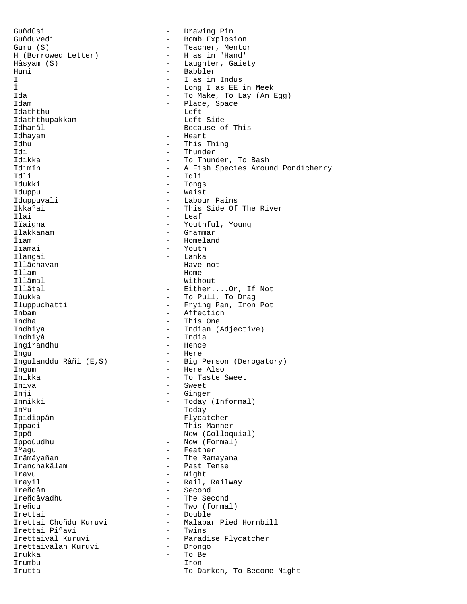Guñdûsi - Drawing Pin Guñduvedi - Bomb Explosion Guru (S) - Teacher, Mentor - H as in 'Hand' Hâsyam (S) - Laughter, Gaiety<br>Huni - Babbler - Babbler I - I as in Indus<br>
The I as in Indus<br>
I concern to the ER in the Second Laborator of the SER is the U.S. of the Second Laborator of the Second Laborator of the Second Laborator of the Second Laborator of the Second Laborat Î - Long I as EE in Meek<br>Ida - To Make. To Lay (An ) Ida - To Make, To Lay (An Egg) Idam - Place, Space - Place, Space - Place, Space - Place, Space - Place - Place - Place - Place - Place - Place - Place - Place - Place - Place - Place - Place - Place - Place - Place - Place - Place - Place - Place - Pla - Left<br>- Left Side Idaththupakkam Idhanâl - Because of This Idhayam - Heart Idhu - This Thing<br>Idi - Thunder - Thunder Idi - Thunder<br>Idikka - Thunder - To Thun Idikka - To Thunder, To Bash Idimîn - A Fish Species Around Pondicherry<br>
Idli Idli - Idli Idukki - Tongs<br>Iduppu - Haist - Waist Iduppu - Waist - Waist - Waist - Waist - Waist - Waist - Waist - Waist - Waist - Waist - Waist - Waist - Waist - Wa Iduppuvali - Labour Pains<br>Ikka°ai - This Side Of Ikka°ai - This Side Of The River<br>Ilai - Leaf Ilai - Leaf<br>Iiaigna - Christiana - Christiana - Christiana - Christiana - Christiana - Christiana - Christiana - Christian Iïaigna - Youthful, Young<br>Ilakkanam - Grammar - Grammar Ilakkanam - Grammar Îïam - Homeland Iiamai - Youth - Youth - Youth - Youth - Youth - Youth - Youth - Youth - Youth - Youth - Youth - Youth - Youth Ilangai - Lanka<br>Illâdhavan - Have-1 Illâdhavan - Have-not Illam - Home Illâmal - Without - Without - Without - Without - Without - Without - Without - Without - Without - Without - Without - Without - Without - Without - Without - Without - Without - Without - Without - Without - Without - Wi Illâtal - Either....Or, If Not Iùukka - To Pull, To Drag<br>Iluppuchatti - Frying Pan, Iron Iluppuchatti - Frying Pan, Iron Pot<br>Inbam - Affection Inbam - Affection<br>Indha - This One - This One Indhiya - Indian (Adjective) Indhiyâ - India Ingirandhu - Hence Ingu - Here - Big Person (Derogatory) Ingum - Here Also - To Taste Sweet Iniya - Sweet Inji - Ginger Innikki - Today (Informal)<br>In<sup>o</sup>u - Today - Today In°u - Today<br>Îpidippân - Flyca - Flycatcher Ippadi **I** - This Manner Ippô - Now (Colloquial) Ippoùudhu - Now (Formal) I<sup>o</sup>agu - Feather<br>Irâmâyañan - Feather - The Rama - The Ramayana Irandhakâlam - Past Tense Iravu - Night Irayil - Rail, Railway Ireñdâm - Second - The Second Ireñdu - Two (formal) Irettai - Double - Latin - Double Irettai Choñdu Kuruvi - Malabar - Malabar Pied Hornbill<br>- Twins Irettai Piºavi Irettaivâl Kuruvi - Paradise Flycatcher<br>Irettaivâlan Kuruvi - Drongo Irettaivâlan Kuruvi Irukka - To Be Irumbu - Iron Irutta  $\qquad \qquad -$  To Darken, To Become Night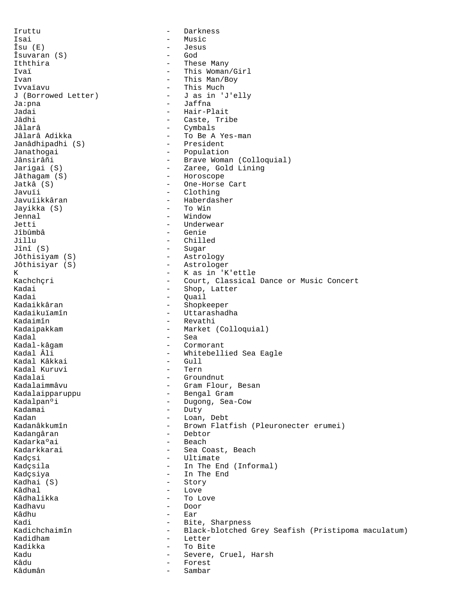Iruttu - Darkness Isai - Music Îsu (E) - Jesus  $\hat{I}$ suvaran (S)  $-$ Iththira - These Many - This Woman/Girl Ivan - This Man/Boy<br>Ivvaïavu - This Much - This Much - This Much<br>- J as in 'J'elly J (Borrowed Letter) Ja:pna - Jaffna - Jaffna<br>Jadai - Hair-Pl Jadai - Hair-Plait<br>Jâdhi - Hair-Plait Jâdhi - Caste, Tribe<br>Jâlarâ - Combals - Cymbals Jâlarâ Adikka - To Be A Yes-man Janâdhipadhi (S) Janathogai - Population Jânsirâñi - Brave Woman (Colloquial) Jarigai (S) - Zaree, Gold Lining Jâthagam (S) - Horoscope Jatkâ (S) - One-Horse Cart Javuïi - Clothing - Haberdasher<br>- To Win Jayikka (S) Jennal - Window Jetti - Underwear<br>Jîbûmbâ - Genie - Genie Jillu - Chilled Jînî (S) - Sugar - Astrology Jôthisiyar (S) - Astrologer K - K as in 'K'ettle Kachchçri - Court, Classical Dance or Music Concert Kadai - Shop, Latter<br>Kadai - Shop, Latter Kadai - Quail<br>Kadaikkâran - Chambread - Shopke Kadaikkâran - Shopkeeper<br>Kadaikuïamîn - - Uttarashad Kadaikuïamîn - Uttarashadha<br>Kadaimîn - Revathi - Revathi Kadaipakkam - Market (Colloquial) Kadal - Sea Kadal-kâgam - Cormorant - Cormorant - Cormorant - Cormorant - Cormorant - Cormorant - Cormorant - Cormorant - Cormorant - Cormorant - Cormorant - Cormorant - Cormorant - Cormorant - Cormorant - Cormorant - Cormorant - Corm - Whitebellied Sea Eagle<br>- Gull Kadal Kâkkai - Gull Kadal Kuruvi<br>Kadalai Kadalai - Groundnut - Groundnut - Groundnut - Groundnut - Gram Flou - Gram Flour, Besan Kadalaipparuppu - Bengal Gram Kadalpanºi - Dugong, Sea-Cow<br>Kadamai - Duty - Duty - Duty Kadan - Loan, Debt<br>Kadanâkkumîn - Hown Flati - Brown Flatfish (Pleuronecter erumei) Kadangâran - Debtor Kadarka°ai - Beach Kadarkkarai - Sea Coast, Beach Kadçsi - Ultimate Kadçsila - In The End (Informal) Kadçsiya - In The End Kadhai (S) - Story Kâdhal - Love - To Love Kadhavu - Door - Door<br>Kâdhu - Ear Kâdhu - Ear<br>Kadi - Ear Kadi - Bite, Sharpness<br>Kadichchaimîn - Black-blotched - Black-blotched Grey Seafish (Pristipoma maculatum) Kadidham - Letter Kadikka - To Bite Kadu - Severe, Cruel, Harsh<br>Kâdu - Severe, Cruel, Harsh Forest<br>Sambar Kâdumân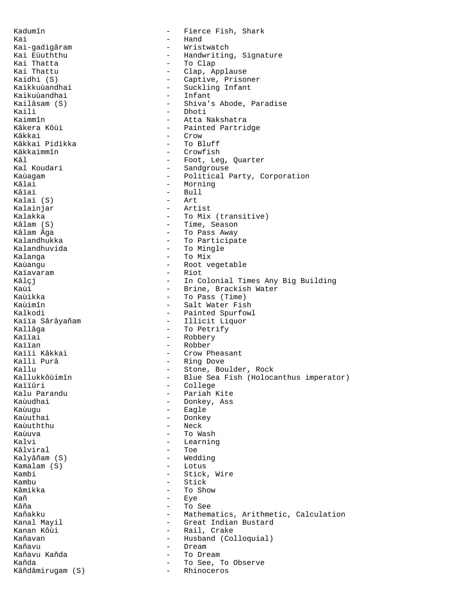Kadumîn - Fierce Fish, Shark Kai - Hand Kai-gadigâram - Wristwatch Kai Eùuththu - Handwriting, Signature<br>Kai Thatta - - - - - - To Clap Kai Thatta - To Clap Kai Thattu - Clap, Applause Kaidhi (S) - Captive, Prisoner - Suckling Infant<br>- Infant Kaikuùandhai Kailâsam (S) - Shiva's Abode, Paradise<br>Kaili - Dhoti Kaili - Dhoti<br>Kaimmîn - Attal Kaimmîn - Atta Nakshatra - Painted Partridge Kâkkai - Crow - Crow<br>Kâkkai Pidikka - - - - - - - - To Bluff Kâkkai Pidikka<br>Kâkkaimmîn Kâkkaimmîn - Crowfish - Crowfish<br>Kâl - Foot, Lee Kâl - Foot, Leg, Quarter<br>Kal Koudari - - - - - - - - - - - - - Sandqrouse Kal Koudari - Sandgrouse Kaùagam - Political Party, Corporation<br>
Kâlai - Morning Kâlai - Morning - Morning - Morning - Morning - Morning - Morning - Morning - Morning - Morning - Mo - Bull<br>- Art  $Kalai (S)$ Kalainjar - Artist Kalakka - To Mix (transitive)<br>Kâlam (S) - Time Season Kâlam (S) - Time, Season - To Pass Away Kalandhukka - To Participate Kalandhuvida - To Mingle Kalanga  $-$  To Mix Kaùangu - Root vegetable<br>Kaïavaram - Riot - Riot Kaïavaram Kâlçj - In Colonial Times Any Big Building<br>Kaùi - - - - - - - Brine, Brackish Water Kaùi - Brine, Brackish Water<br>Kaùikka - - - - - - - - - - To Pass (Time) Kaùikka - To Pass (Time)<br>Kaùimîn - Salt Mater Fis - Salt Water Fish Kalkodi - Painted Spurfowl<br>Kaïïa Sârâyañam - - - - - - - - - - - - - Illicit Liquor - Illicit Liquor Kallâga - To Petrify Kaïïai - Robbery Kaïïan - Robber<br>Kaïïi Kâkkai - Crow P Kaïïi Kâkkai - Crow Pheasant - Ring Dove Kallu - Stone, Boulder, Rock<br>Kallukkôùimîn - Blue Sea Fish (Holoca Kallukkôùimîn - Blue Sea Fish (Holocanthus imperator)<br>Kaliûri - College Kaïïûri - College Kalu Parandu - Pariah Kite - Donkey, Ass Kaùuqu - Eagle Kaùuthai - Donkey Kaùuththu Kaùuva - To Wash Kalvi - Learning - Learning - Learning - Learning - Learning - Learning - Learning - Learning - Learning - Learning - Learning - Learning - Learning - Learning - Learning - Learning - Learning - Learning - Learning - Learn Kâlviral<br>Kalyâñam (S) - Wedding<br>- Lotus Kamalam (S)<br>Kambi Kambi - Stick, Wire Kambu - Stick - Stick<br>Kâmikka - To Sh Kâmikka - To Show<br>Kañ - To Show<br>- Tye Kañ - Eye - To See Kañakku - Mathematics, Arithmetic, Calculation<br>Kanal Mavil - Great Indian Bustard Kanal Mayil - Great Indian Bustard - Rail, Crake Kañavan **-** Husband (Colloquial) Kañavu - Dream - Dream - Dream - Dream - Dream - Dream - Dream - Dream - Dream - Dream - Dream - Dre - To Dream Kañda - To See, To Observe<br>Kâñdâmiruqam (S) - - Rhinoceros Kâñdâmirugam (S)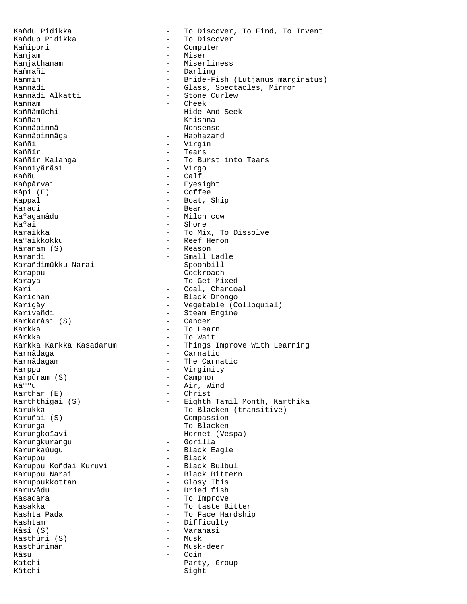Kañdu Pidikka - To Discover, To Find, To Invent Kañdup Pidikka - To Discover Kañipori - Computer Kanjam - Miser Kanjathanam - Miserliness Kañmañi - Darling<br>Kanmîn - Hide-F Kanmîn - Bride-Fish (Lutjanus marginatus)<br>Kannâdi - Glass Spectacles Mirror - Glass, Spectacles, Mirror<br>- Stone Curlew Kannâdi Alkatti Kaññam - Cheek<br>Kaññam - Cheek<br>- Hide-Z Kaññâmûchi - Hide-And-Seek<br>Kaññan - Hide-And-Seek Kaññan - Krishna - Nonsense Kannâpinnâga - Haphazard Kaññi - Virgin<br>Kaññîr - Tears Kaññîr - Tears - To Burst into Tears<br>- Virgo Kanniyârâsi<br>Kaññu Kaññu - Calf<br>Kañpârvai - Fyes Kañpârvai - Eyesight<br>
Kâpi (E) - Coffee Kâpi (E) - Coffee<br>Kappal - Boat, : - Boat, Ship Karadi - Bear<br>Ka°agamâdu - Milcł Ka°agamâdu - Milch cow<br>Ka°ai - Shore Ka°ai - Shore<br>Karaikka - Shore - Shore - Shore - To Mix, To Dissolve Ka°aikkokku - Reef Heron Kârañam (S) - Reef Heron - Reason  $K\hat{a}$ rañam  $(S)$ Karañdi - Small Ladle<br>Karañdimûkku Narai - Spoonbill Karañdimûkku Narai Karappu - Cockroach Karaya - To Get Mixed Kari - Coal, Charcoal<br>Karichan - Coal, Charcoal - Black Drongo Karigây **-** Vegetable (Colloquial) Karivañdi - Steam Engine Karkarâsi (S)<br>Karkka - To Learn Kârkka - To Wait - Things Improve With Learning Karnâdaga - Carnatic Karnâdagam - The Carnatic Karppu - Virginity Karpûram (S) - Camphor Kâ<sup>o o</sup>u - Air, Wind<br>Karthar (E) - Christ Karthar (E) - Christ - Eighth Tamil Month, Karthika Karukka <sup>-</sup> To Blacken (transitive)<br>Karuñai (S) - - - - - - - - - - - - Compassion - Compassion Karunga - To Blacken Karungkoïavi - Hornet (Vespa) Karungkurangu Karunkaùugu - Black Eagle Karuppu - Karuppu - Black<br>Karuppu Koñdai Kuruvi - Black Bulbul Karuppu Koñdai Kuruvi<br>Karuppu Narai xaruppu Narai - Black Bittern<br>Karuppukkottan - Glosy Ibis Karuppukkottan - Glosy Ibis Karuvâdu - Dried fish<br>Kasadara - To Improve - To Improve Kasakka - To taste Bitter<br>Kashta Pada - To Face Hardshi - To Face Hardship Kashtam - Difficulty - Varanasi<br>- Musk Kasthûri (S) Kasthûrimân - Musk-deer<br>Kâsu - Coin Kâsu - Coin<br>Katchi - Partv Katchi - Party, Group<br>Kâtchi - Party, Group Sight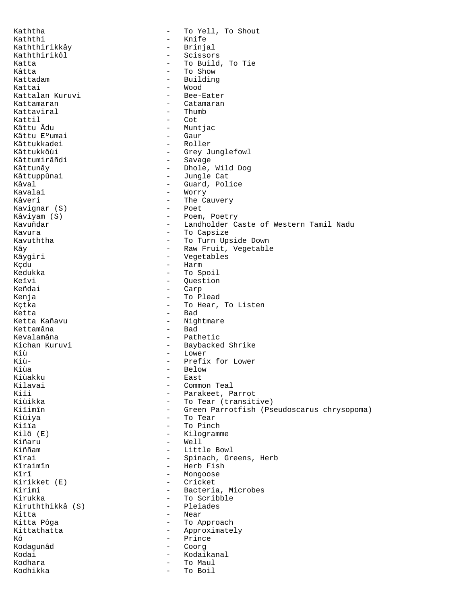Kaththa  $-$  To Yell, To Shout Kaththi - Knife<br>Kaththirikkây - - - - - - - - Brinjal Kaththirikkây Kaththirikôl - Scissors Katta - To Build, To Tie<br>
xâtta - To Show Kâtta - To Show - To Show<br>Kattadam - To Show - Building Kattadam - Building - Wood<br>- Bee-Eater Kattalan Kuruvi Kattamaran - Catamaran - Catamaran - Catamaran - Catamaran - Catamaran - Catamaran - Catamaran - Catamaran - Catamaran - Catamaran - Catamaran - Catamaran - Catamaran - Catamaran - Catamaran - Catamaran - Catamaran - Catam Kattaviral Kattil - Cot - Muntjac<br>- Gaur Kâttu E°umai Kâttukkadei - Roller Kâttukkôùi - Grey Junglefowl Kâttumirâñdi - Savage - Savage - Savage - Savage - Savage - Savage - Savage - Savage - Savage - Savage - Savage - Savage - Savage - Savage - Savage - Savage - Savage - Savage - Savage - Savage - Savage - Savage - Savage - Kâttunây - Dhole, Wild Dog Kâttuppûnai - Jungle Cat<br>Kâval - Guard, Pol: Kâval - Guard, Police<br>Kavalai - Guard, Police Kavalai - Worry - Worry<br>Kâveri - The Ca - The Cauvery<br>- Poet Kavignar (S)<br>Kâviyam (S) Kâviyam (S) - Poem, Poetry Kavuñdar - Landholder Caste of Western Tamil Nadu - To Capsize Kavuththa  $-$  To Turn Upside Down Kây **- Raw Fruit, Vegetable** Kâygiri - Vegetables Kçdu - Harm - Harm - Harm - Harm - Harm - Harm - Harm - Harm - Harm - Harm - Harm - Harm - Harm - Harm - Harm - Harm - Harm - Harm - Harm - Harm - Harm - Harm - Harm - Harm - Harm - Harm - Harm - Harm - Harm - Harm - Harm Kedukka - To Spoil Keïvi - Question - Carp Kenja - To Plead Kçtka  $-$  To Hear, To Listen Ketta - Bad - Nightmare<br>- Bad Kettamâna Kevalamâna - Pathetic Kichan Kuruvi - Baybacked Shrike<br>Kîù - Lower Kîù - Lower Kiù- - Prefix for Lower Kîùa - Below - Below - Below - Below - Bast Kiùakku - East Kilavai - Common Teal<br>Kiii - Parakeet, Pa Kiïi - Parakeet, Parrot<br>Kiùikka - Parakeet, Parrot Kiùikka - To Tear (transitive)<br>Kiïimîn - Green Parrotfish (Ps - Green Parrotfish (Pseudoscarus chrysopoma) Kiùiya - To Tear Kiïïa - To Pinch - Kilogramme Kiñaru - Well - Well<br>Kiññam - Litt. Kiññam - Little Bowl<br>Kîrai - Spinach, Gr Kîrai - Spinach, Greens, Herb<br>Kîraimîn - Herb Fish Kîraimîn - Herb Fish - Mongoose<br>- Cricket Kirikket (E)<br>Kirimi Kirimi - Bacteria, Microbes - To Scribble<br>- Pleiades Kiruththikkâ (S) Kitta - Near - Near - Near - Near - Near - Near - Near - Near - Near - Near - Near - Near - Near - Near - Near<br>Kitta Pôga Kitta Pôga<br>Kittathatta - To Approach<br>Approximate - Approximately Kô - Prince<br>Kodagunâd - Coorg Kodagunâd - Coorg Kodai - Kodaikanal<br>Kodhara - Kodaikanal - Kodaikanal Kodhara - To Maul - To Boil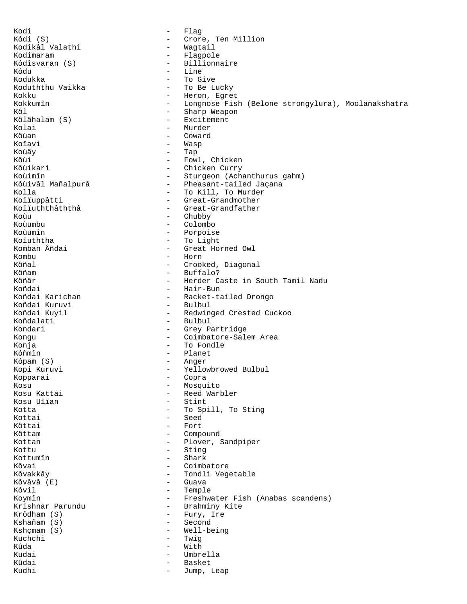Kodi - Flag Kôdi (S) - Crore, Ten Million Kodikâl Valathi Kodimaram - Flagpole Kôdîsvaran (S) - Billionnaire Kôdu - Line - Line - Line - Line - Line - Line - Line - Line - Line - Line - Line - Line - Line - Line - Line - Line - Line - Line - Line - Line - Line - Line - Line - Line - Line - Line - Line - Line - Line - Line - Line Kodukka - To Give Koduththu Vaikka - To Be Lucky<br>Kokku - Heron Egre Kokku - Heron, Egret<br>Kokkumîn - Heron, Egret<br>- Longnose Fis - Longnose Fish (Belone strongylura), Moolanakshatra Kôl - Sharp Weapon<br>Kôlâhalam (S) - - - - - - - Excitement Kôlâhalam (S) Kolai - Murder Kôùan - Coward Koïavi - Wasp Koùây - Tap Kôùi - Fowl, Chicken<br>Kôùikari - Chicken Curry Kôùikari - Chicken Curry<br>Koùimîn - Sturgeon (Ach Koùimîn - Sturgeon (Achanthurus gahm)<br>Kôùivâl Mañalpurâ - Pheasant-tailed Jaçana Kôùivâl Mañalpurâ - Pheasant-tailed Jaçana Kolla - To Kill, To Murder<br>Kolluppâtti - Great-Grandmother Koïïuppâtti - Great-Grandmother<br>Koïïuththâththâ - - Great-Grandfather - Great-Grandfather Koùu - Chubby - Chubby - Chubby - Chubby - Chubby - Chubby - Chubby - Chubby - Chubby - Colombo Koùumbu - Colombo - Colombo - Colombo - Colombo - Colombo - Colombo - Colombo - Colombo - Colombo - Colombo - Colombo - Colombo - Colombo - Colombo - Colombo - Colombo - Colombo - Colombo - Colombo - Colombo - Colombo - Co - Porpoise Koïuththa - To Light - Great Horned Owl Kombu - Horn Kôñal - Crooked, Diagonal<br>Kôñam - - - - - - - - - Buffalo? Kôñam - Buffalo? Kôñâr - Herder Caste in South Tamil Nadu<br>Koñdai - Hair-Bun Koñdai - Hair-Bun - Hair-Bun<br>Koñdai Karichan - - Racket-ta - Racket-tailed Drongo<br>- Bulbul Koñdai Kuruvi<br>Koñdai Kuyil - Redwinged Crested Cuckoo Koñdalati - Bulbul Kondari - Grey Partridge Kongu - Coimbatore-Salem Area Konja - To Fondle Kôñmîn - Planet Kôpam (S) - Anger Kopi Kuruvi - Yellowbrowed Bulbul Kopparai - Copra - ...<br>Kosu Kattai - Mosquito - Mosquito<br>Kosu Kattai - Reed Warl - Reed Warbler<br>- Stint Kosu Uïïan Kotta  $\overline{ }$  To Spill, To Sting Kottai - Seed Kôttai - Fort Kôttam - Compound Kottan  $\blacksquare$  - Plover, Sandpiper Kottu - Sting Kottumîn - Shark Kôvai - Coimbatore Kôvakkây **-** Tondli Vegetable Kôvâvâ (E) - Guava Kôvil – Temple<br>Koymîn – Freshwa Koymîn - Freshwater Fish (Anabas scandens)<br>Krishnar Parundu - - Brahminy Kite Krishnar Parundu - Brahminy Kite<br>Krôdham (S) - Furv. Ire - Fury, Ire Kshañam (S) - Second Kshçmam (S) - Well-being<br>Kuchchi - Twig Kuchchi - Twigida - Twigida - Twigida - Twigida - Twigida - Twigida - Twigida - Twigida - Twigida - Twigida - Twigida - Twigida - Twigida - Twigida - Twigida - Twigida - Twigida - Twigida - Twigida - Twigida - Twigida - Tw Kûda - With Kudai - Umbrella - Basket Kudhi - Jump, Leap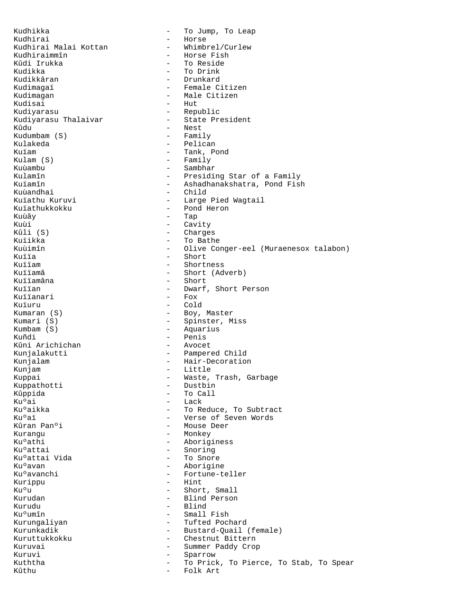Kudhikka  $-$  To Jump, To Leap Kudhirai - Horse Kudhirai Malai Kottan<br>Kudhiraimmîn Kudhiraimmîn - Horse Fish Kûdi Irukka - To Reside<br>Kudikka - To Drink - To Drink Kudikka - To Drink<br>Kudikkâran - To Drunkard - To Drunkard Kudikkâran - Drunkard Kudimagaï - Female Citizen<br>Kudimagan - Female Citizen Kudimagan - Male Citizen - Hut Kudiyarasu - Republic Kudiyarasu Thalaivar Kûdu - Nest<br>Kudumbam (S) - Family Kudumbam (S) Kulakeda - Pelican Kuïam - Tank, Pond Kulam (S) - Family Kuùambu - Sambhar Kulamîn - Presiding Star of a Family Kuïamîn - Ashadhanakshatra, Pond Fish Kuùandhai - Child<br>Kuïathu Kuruvi - Large - Large Pied Wagtail Kuïathukkokku - Pond Heron<br>Kuùây - Tap Kuùây - Tap Kuùi - Cavity<br>Kûli (S) - Charge - Charges Kuïikka - To Bathe Kuùimîn - Olive Conger-eel (Muraenesox talabon) Kuïïa - Short<br>Kuïïam - Shortr Kuïïam - Shortness<br>Kuïïamâ - Short (Ad Kuïïamâ - Short (Adverb)<br>Kuïïamâna - Short - Short Kuïïamâna - Short<br>Kuïïan - Short - Short - Dwarf, Short Person<br>- Fox Kuïïanari Kuïuru - Cold Kumaran (S) - Boy, Master Kumari (S) - Spinster, Miss<br>Kumbam (S) - Aquarius - Aquarius Kuñdi - Penis<br>Kûni Arichichan - Avocet Kûni Arichichan Kunjalakutti - Pampered Child Kunjalam - Hair-Decoration Kunjam - Little Kuppai - Waste, Trash, Garbage<br>Kuppathotti - - Dustbin - Dustbin Kuppathotti<br>Kûppida Kûppida - To Call Ku<sup>o</sup>ai - Lack<br>Ku<sup>o</sup>ai - To Re Kuºaikka - To Reduce, To Subtract<br>Kuºaï - To Reduce, To Subtract Kuºaï - Verse of Seven Words - Mouse Deer Kurangu - Monkey Ku°athi - Aboriginess<br>Ku°attai - Snoring - Snoring Ku°attai - Snoring<br>Ku°attai Vida - - To Snor Ku°attai Vida<br>Ku°avan - To Snore - To Snore - To Snore - To Snore - To Snore - To Snore - To Snore - To Snore - To Snore - T Ku°avan - Aborigine<br>Ku°avanchi - Fortune-te - Fortune-teller Kurippu - Hint Ku<sup>o</sup>u - Short, Small<br>Kurudan - Short, Small - Blind Person Kurudu - Blind - Small Fish Kurungaliyan - Tufted Pochard<br>Kurunkadik - Bustard-Ouail - Bustard-Quail (female) Kuruttukkokku - Chestnut Bittern Kuruvai - Summer Paddy Crop Kuruvi - Sparrow - Sparrow Kuththa  $-$  To Prick, To Pierce, To Stab, To Spear Kûthu - Folk Art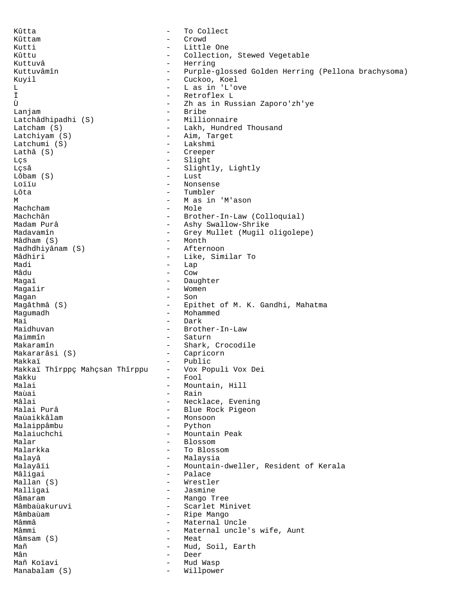Kûtta - To Collect Kûttam - Crowd Kutti - Little One Kûttu - Collection, Stewed Vegetable<br>Kuttuvâ - Herring Kuttuvâ - Herring - Herring - Herring - Herring - Herring - Herring - Herring - Herring - Herring - Herring - - Purple-glossed Golden Herring (Pellona brachysoma) Kuyil - Cuckoo, Koel L L as in 'L'ove<br>
T - L as in 'L'ove<br>
T - Retroflex L Ï - Retroflex L Ù  $\frac{1}{2}$  - Zh as in Russian Zaporo'zh'ye<br>
- Bribe - Bribe<br>- Millionnaire Latchâdhipadhi (S) Latcham (S) - Lakh, Hundred Thousand Latchiyam (S) - Aim, Target Latchumi (S) - Lakshmi Lathâ (S) - Creeper Lçs - Slight Lçsâ - Slightly, Lightly  $Lôbam(S)$ Loïïu - Nonsense Lôta - Tumbler<br>Masin - Masin M - M as in 'M'ason Machcham - Mole<br>Machchân - Hother - Hother Machchân - Brother-In-Law (Colloquial)<br>Madam Purâ - - Ashv Swallow-Shrike Madam Purâ - Ashy Swallow-Shrike<br>Madavamîn - Grev Mullet (Mugil ) - Grey Mullet (Mugil oligolepe) Mâdham (S) - Month Madhdhiyânam (S)<br>Mâdhiri Mâdhiri - Like, Similar To<br>Madi - Lap Madi - Lap<br>Mâdu - Cow Mâdu - Cow Magaï - Daughter Magaïir  $\qquad -$  Women Magan - Son Magâthmâ (S) - Epithet of M. K. Gandhi, Mahatma Magumadh - Mohammed Mai - Dark<br>Maidhuvan - - Brotl - Brother-In-Law Maimmîn - Saturn Makaramîn  $-$  Shark, Crocodile Makararâsi (S) - Capricorn Makkaï<br>Makkaï Thîrppç Mahçsan Thîrppu - Vox Populi Vox Dei Makkaï Thîrppç Mahçsan Thîrppu -<br>Makku -Makku - Fool Malai - Mountain, Hill<br>Maùai - Tain - Rain Maùai - Rain<br>Malai - Neck<sup>-</sup> Mâlai - Necklace, Evening<br>Malai Purâ - - - - - - - - - - - Blue Rock Pigeon - Blue Rock Pigeon<br>- Monsoon Maùaikkâlam Malaippâmbu - Python Malaiuchchi - Mountain Peak Malar - Blossom - Blossom Malarkka - To Blossom Malayâ - Malaysia Malayâïi - Mountain-dweller, Resident of Kerala<br>Mâligai - Palace Mâligai - Palace Mallan (S)<br>Malligai Malligai - Jasmine Mâmaram - Mango Tree - Scarlet Minivet Mâmbaùam - Ripe Mango - Maternal Uncle Mâmmi - Maternal uncle's wife, Aunt<br>Mâmsam (S) - - Meat  $Mâmsam(S)$ Mañ - Mud, Soil, Earth<br>Mân - Deer - Deer Mañ Koïavi **Mañ Koïavi - Mud Wasp** Manabalam (S)  $-$  Willpower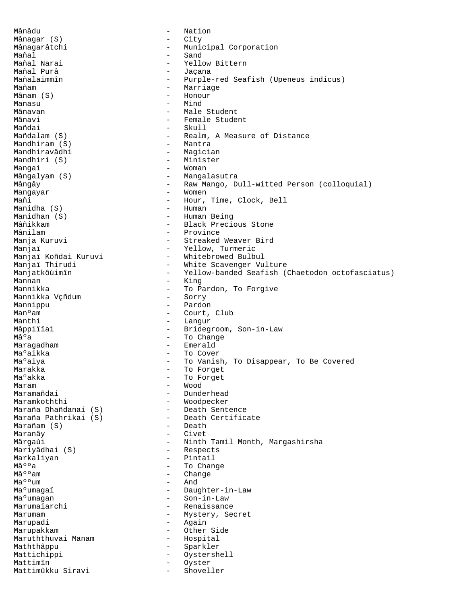Mânâdu - Nation Mânagar (S) - City Mânagarâtchi - Municipal Corporation Mañal - Sand - Yellow Bittern<br>- Jacana Mañal Purâ - Jaçana - Purple-red Seafish (Upeneus indicus) Mañam - Marriage - Honour Manasu - Mind Mânavan - Male Student Mânavi - Female Student<br>Mañdai - Skull - Skull - Skull Mañdalam (S) - Realm, A Measure of Distance<br>Mandhiram (S) - Mantra Mandhiram  $(S)$ Mandhiravâdhi - Magician<br>Mandhiri (S) - Minister Mandhiri (S) Mangai  $-$  Woman Mângalyam (S) - Mangalasutra Mângây - Raw Mango, Dull-witted Person (colloquial) Mangayar - Women<br>Mañi - Hour, - Hour, Time, Clock, Bell<br>- Human Manidha  $(S)$ Manidhan (S) - Human Being<br>Mâñikkam - Black Precio Mâñikkam - Black Precious Stone - Province Manja Kuruvi **Manja Kuruvi** - Streaked Weaver Bird Manjaï - Yellow, Turmeric Manjaï Koñdai Kuruvi - Whitebrowed Bulbul<br>Manjaï Thirudi - White Scavenger Vu - White Scavenger Vulture Manjatkôùimîn - Yellow-banded Seafish (Chaetodon octofasciatus)<br>Mannan - King - King Mannikka - To Pardon, To Forgive Mannikka Vçñdum - To Pardon, To Forgive Mannikka Vçñdum Mannippu - Pardon Manºam - Court, Club Manthi  $-$  Langur Mâppiïïai - Bridegroom, Son-in-Law Mâºa - To Change Maragadham - Emerald Ma°aikka - To Cover Maºaiya - To Vanish, To Disappear, To Be Covered Marakka - To Forget<br>Ma<sup>o</sup>akka - To Forget Ma°akka - To Forget Maram - Wood Maramañdai - Dunderhead - Woodpecker<br>- Death-Sentence Maraña Dhañdanai (S) Death Sentence<br>Maraña Pathrikai (S) Death Certificate Maraña Pathrikai (S) - Death<br>Marañam (S) - Death  $Marañam(S)$ Maranây - Civet Mârgaùi **- Ninth Tamil Month, Margashirsha** Mariyâdhai (S) - Respects Markaliyan - Pintail<br>M⺺a - To Chan  $M\hat{a}^{\circ}{}^{\circ}a$  - To Change  $M\hat{a}^{\circ}{}^{\circ}am$  - Change  $-$  Change  $-$  Change - Change<br>- And Maººum<br>Maºumagaï - Daughter-in-Law Ma°umagan - Son-in-Law Marumaïarchi **1986** - Renaissance Marumam - Mystery, Secret Marupadi - Again Marupakkam - Other Side Maruththuvai Manam Maththâppu - Sparkler Mattichippi - Oystershell<br>Mattimîn - Oyster Mattimîn - Oyservice - Oyservice - Oyservice - Oyservice - Oyservice - Oyservice - Oyservice - Oyservice - Oyservice - Oyservice - Oyservice - Oyservice - Oyservice - Oyservice - Oyservice - Oyservice - Oyservice - Oyservi Mattimûkku Siravi - Shoveller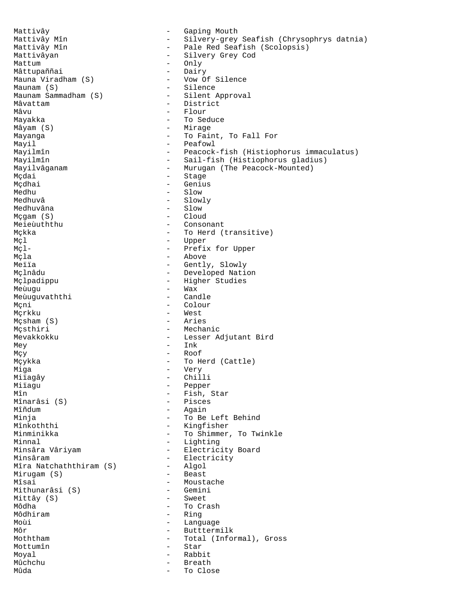Mattivây  $-$  Gaping Mouth Mattivây Mîn - Silvery-grey Seafish (Chrysophrys datnia) - Pale Red Seafish (Scolopsis) Mattivâyan - Silvery Grey Cod Mattum - Only<br>
Mâttupaññai - Dairy Mâttupaññai<br>Mauna Viradham (S) - Vow Of Silence<br>- Silence Maunam (S) - Silence Maunam Sammadham (S)<br>Mâvattam - District Mâvu - Flour - Flour - Flour<br>Mayakka - Flour - To See  $-$  To Seduce Mâyam (S) - Mirage Mayanga  $\qquad \qquad \qquad -$  To Faint, To Fall For Mayil<br>Mayilmîn - Peafowl<br>Mayilmîn - Peacock Mayilmîn - Peacock-fish (Histiophorus immaculatus)<br>Mayilmîn - Sail-fish (Histiophorus gladius) Mayilmîn - Sail-fish (Histiophorus gladius)<br>Mayilvâganam - Murugan (The Peacock-Mounted) Mayilvâganam - Murugan (The Peacock-Mounted)<br>Mcdai Mçdai - Stage - Stage - Stage - Stage - Stage - Stage - Stage - Stage - Stage - Stage - Stage - Stage - Stage - Stage - Stage - Stage - Stage - Stage - Stage - Stage - Stage - Stage - Stage - Stage - Stage - Stage - Stage Mçdhai - Genius Medhu - Slow - Slow<br>Medhuvâ - Slow - Slow - Slowly<br>- Slow Medhuvâna - Slow  $Mcqam(S)$ Meieùuththu - Consonant - To Herd (transitive) Mçl - Upper Mçl-  $\qquad$  - Prefix for Upper Mçla - Above Meïïa - Gently, Slowly<br>Mçlnâdu - Cently, Slowly - Developed Nation Mçlpadippu - Higher Studies Meùugu - Wax - Wax - Wax - Wax - Wax - Wax - Wax - Wax - Wax - Wax - Wax - Wax - Wax - Wax - Wax - W Meùuguvaththi Mçni - Colour - West<br>- Aries Mçsham (S)<br>Mcsthiri - Mechanic Mevakkokku <br/> - Lesser Adjutant Bird<br/>  $\,$  $\begin{tabular}{ll} \bf{Mey} & \tt{-} & \tt{Ink} \end{tabular}$  $M_{\rm CY}$  - Roof Mçykka - To Herd (Cattle) Miga - Very Miïagây - Chilli Miïagu - Pepper<br>Mîn - Fish, - Fish, Star<br>- Pisces Mînarâsi (S) Mîñdum - Again Minja - To Be Left Behind - Kingfisher Minminikka  $-$  To Shimmer, To Twinkle Minnal<br>
Minsâra Vâriyam<br>
Minsâra Vâriyam<br>
Carl Communication - Electrici - Electricity Board Minsâram<br>
Mîra Natchaththiram (S) - Electricity<br>
- Algol Mîra Natchaththiram (S) - Algol<br>Mirugam (S) - Beast Mirugam (S)<br>Mîsai - Moustache<br>- Gemini  $M$ ithunarâsi (S)  $-$  Gemini<br> $M$ ittâv (S)  $-$  Sweet Mittây (S) Môdha - To Crash<br>Môdhiram - To Crash Môdhiram - Ring<br>Moùi - Tang Moùi - Language - Language - Language - Language - Language - Language - Language - Language - Language - Language - Language - Language - Language - Language - Language - Language - Language - Language - Language - Langua - Butttermilk Moththam  $-$  Total (Informal), Gross Mottumîn - Star Moyal **-** Rabbit Mûchchu - Breath - Breath<br>Mûda - To Clo To Close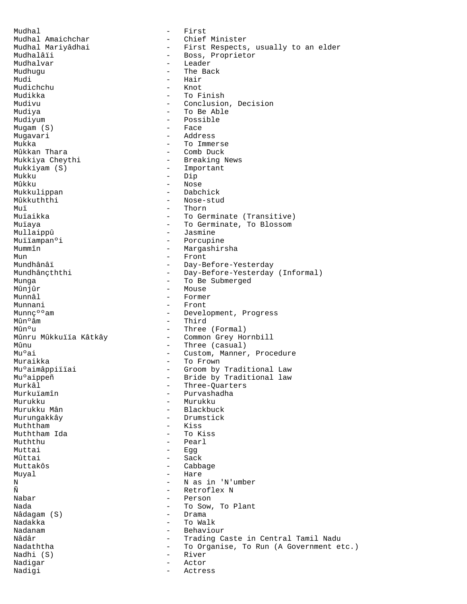Mudhal - First Mudhal Amaichchar - Chief Minister Mudhal Mariyâdhai - First Respects, usually to an elder<br>Mudhalâïi - Boss, Proprietor Mudhalâïi - Boss, Proprietor<br>Mudhalvar - Leader Mudhalvar - Leader Mudhugu - The Back - Hair<br>- Knot Mudichchu<br>Mudikka Mudikka - To Finish<br>Mudiyu - Conclusion - Conclusion, Decision Mudiya - To Be Able Mudiyum - Possible<br>Mugam (S) - Face  $Muqam(S)$ Mugavari - Address Mukka - To Immerse Mûkkan Thara - Comb Duck Mukkiya Cheythi - Breaking News<br>Mukkiyam (S) - Important Mukkiyam (S) - Important  $Mukku$  - Dip<br> $Mûkku$  - Nose - Nose<br>- Dabchick Mukkulippan<br>Mûkkuththi Mûkkuththi - Nose-stud<br>Muï - Thorn Muï - Thorn<br>Muïaikka - To Ger Muïaikka - To Germinate (Transitive)<br>Muïava - To Germinate. To Blossom - To Germinate, To Blossom Mullaippû - Jasmine Muïïampanºi - Porcupine<br>Mummîn - Marqashir - Margashirsha Mun - Front Mundhânâï - Day-Before-Yesterday<br>Mundhânçththi - Day-Before-Yesterday Mundhânçththi - Day-Before-Yesterday (Informal)<br>Munqa - To Be Submerged Munga - To Be Submerged Mûnjûr - Mouse<br>Munnâl - Formei - Former Munnani - Front<br>Munnc<sup>oo</sup>am - Devel Munnç<sup>o</sup> am  $\frac{1}{2}$  - Development, Progress Mîn e am  $M^{\hat{u}}$ n<sup>o</sup>âm - Third<br> $M^{\hat{u}}$ n<sup>o</sup>u - Three - Three (Formal) Mûnru Mûkkuïïa Kâtkây - Common Grey Hornbill  $M$ ûnu  $\begin{bmatrix} 1 & 0 & 0 \\ 0 & 0 & 0 \\ 0 & 0 & 0 \\ 0 & 0 & 0 \\ 0 & 0 & 0 \\ 0 & 0 & 0 \\ 0 & 0 & 0 \\ 0 & 0 & 0 \\ 0 & 0 & 0 \\ 0 & 0 & 0 \\ 0 & 0 & 0 \\ 0 & 0 & 0 \\ 0 & 0 & 0 \\ 0 & 0 & 0 \\ 0 & 0 & 0 \\ 0 & 0 & 0 \\ 0 & 0 & 0 \\ 0 & 0 & 0 \\ 0 & 0 & 0 \\ 0 & 0 & 0 & 0 \\ 0 & 0 & 0 & 0 \\ 0 & 0 & 0 & 0 \\$ Mu°ai - Custom, Manner, Procedure<br>Muraikka - - - To Frown Muraikka - To Frown Muºaimâppiïïai - Groom by Traditional Law<br>Muºaippeñ - - Bride by Traditional law Mu°aippeñ - Bride by Traditional law<br>Murkâl - Three-Ouarters Murkâl - Three-Quarters<br>Murkuïamîn - Three-Quarters<br>Huryashadha - Three-Quarters Murkuïamîn - Purvashadha<br>Murukku - Murukku - Murukku Murukku - Murukku - Murukku Murukku Manazarta (j. 1920)<br>Murukku Mân - Murukku Murukku Manazarta (j. 1920) Murukku Mân - Blackbuck - Drumstick<br>- Kiss Muththam Muththam Ida - To Kiss Muththu - Pearl Muttai - Egg Mûttai - Sack Muttakôs - Cabbage Muyal - Hare N - N as in 'N'umber<br> $\tilde{N}$  - Retroflex N Ñ<br>Nabar - Retroflex N<br>- Person Nabar - Person - To Sow, To Plant<br>- Drama Nâdagam (S)<br>Nadakka Nadakka - To Walk - Behaviour Nâdâr - Trading Caste in Central Tamil Nadu Nadaththa  $-$  To Organise, To Run (A Government etc.) Nadhi (S) - River Nadigar - Actor Nadigi - Actress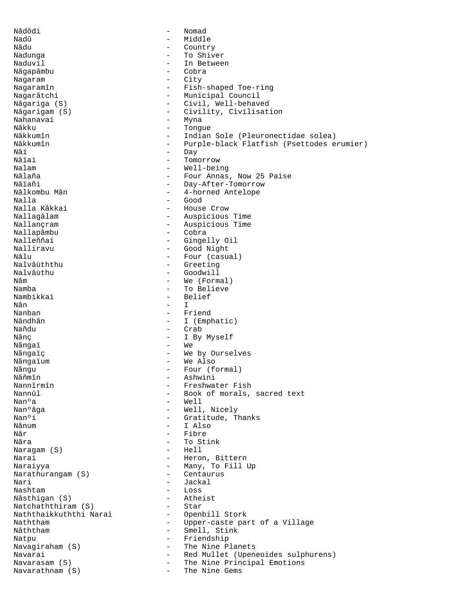Nâdôdi - Nomad Nadû - Middle - Country Nadunga - To Shiver - In Between<br>- Cobra Nâgapâmbu Nagaram - City Nagaramîn - Fish-shaped Toe-ring<br>Nagarâtchi - Municipal Council - Municipal Council Nâgariga (S) - Civil, Well-behaved Nâgarigam (S) - Civility, Civilisation<br>Nahanavai - Myna - Myna - Myna - Myna - Myna - Myna - Myna - Myna - Myna - Myna - Myna - Myna - Myna - Myna - Myna - Myna - Mana - Myna<br>Nâkku - Tongr - Tongue Nâkkumîn - Indian Sole (Pleuronectidae solea) Nâkkumîn - Purple-black Flatfish (Psettodes erumier)<br>Nâi Nâï - Day<br>Nâïai - Comedia - Day Nâïai - Tomorrow - Tomorrow<br>Nalam - Well-bei Nalam - Well-being Nâlaña - Four Annas, Now 25 Paise<br>Nâlañi - - Dav-After-Tomorrow Nâïañi - Day-After-Tomorrow<br>Nâlkombu Mân - - - - - 4-horned Antelope Nâlkombu Mân - 1 - 4-horned Antelope<br>Nalla - Good Nalla - Good Nalla Kâkkai - House Crow Nallagâlam - Auspicious Time - Auspicious Time<br>- Cobra Nallapâmbu Nalleññai - Gingelly Oil<br>Nalliravu - - Good Night Nalliravu - Good Night Nâlu - Four (casual)<br>Nalvâùththu - Greeting Nalvâùththu - Greeting Nalvâùthu - Goodwill<br>Nâm - We (Form Nâm - We (Formal) Namba - To Believe<br>Nambikkai - To Believe - Belief<br>- I Nân - I Nanban - Friend Nândhân - I (Emphatic)<br>Nañdu - - Crab - Crab Nânç  $\qquad$  - I By Myself Nângai - We Nângaïç en entre la voie de la voie de la voie de la voie de la voie de la voie de la voie de la voie de la vo Nângaïum - We Also Nângu - Four (formal)<br>Nâñmîn - Ashwini Nâñmîn - Ashwini Nannîrmîn - Freshwater Fish<br>Nannûl - Book of morals. Nannûl - Book of morals, sacred text Nanºa - Well<br>Nanºâqa - Mell - Well Nanºâga - Well, Nicely<br>Nanºi - Gratitude Tl Nanºi - Gratitude, Thanks<br>Nânum - I Also - I Also Nâr - Fibre Nâra - To Stink<br>Naraqam (S) - - Hell - Hell Naragam (S) Narai  $-$  Heron, Bittern Naraiyya - Many, To Fill Up Narathurangam (S)<br>Nari Nari - Jackal<br>Nashtam - - Loss - Loss - Loss<br>- Atheist Nâsthigan (S) - Atheist<br>Natchaththiram (S) - Star Natchaththiram (S) - Star<br>Naththaikkuththi Narai - Openbill Stork Naththaikkuththi Narai<br>Naththam Naththam  $\begin{array}{cccc} \text{Weyl} & - & \text{Weyl} \\ - & \text{Weyl} & - & \text{Weyl} \\ \end{array}$  where  $\begin{array}{cccc} \text{Weyl} & \text{Weyl} & \text{Weyl} \\ - & \text{Weyl} & \text{Weyl} \\ \end{array}$ - Smell, Stink Natpu - Friendship Navagiraham (S)  $-$  The Nine Planets Navarai **Mavarai** - Red Mullet (Upeneoides sulphurens) Navarasam (S) - The Nine Principal Emotions Navarathnam (S)  $-$  The Nine Gems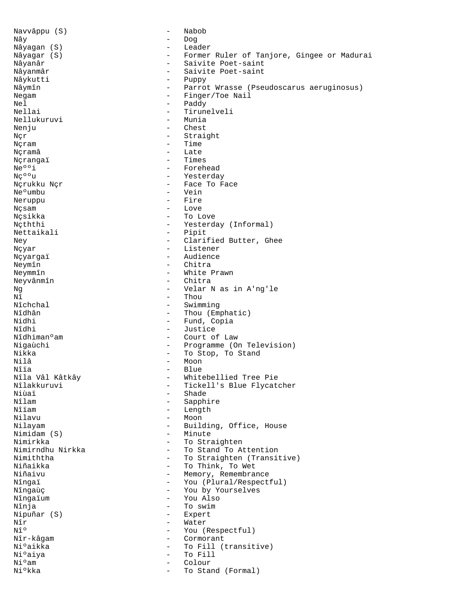Navvâppu (S) - Nabob Nây - Dog Nâyagan (S) - Leader Nâyagar (S) - Former Ruler of Tanjore, Gingee or Madurai Nâyanâr - Saivite Poet-saint<br>Nâyanmâr - Saivite Poet-saint - Saivite Poet-saint<br>- Puppy Nâykutti<br>Nâymîn Nâymîn - Parrot Wrasse (Pseudoscarus aeruginosus)<br>Negam - Finger/Toe Nail - Finger/Toe Nail Nel - Paddy - Tirunelveli<br>- Munia Nellukuruvi Nenju - Chest Nçr - Straight Nçram - Time Nçramâ - Late  $N$ çrangaï  $-$  Times  $\frac{1}{N}$ Neººi - Forehead<br>N纺u - Yesterda Ng<sup>oo</sup>u - Yesterday<br>Ngrukku Ngr - - - - - - - Face To F Nçrukku Nçr - Face To Face - Vein<br>- Fire Neruppu Nçsam - Love Nçsikka - To Love Nçththi - Yesterday (Informal) Nettaikali - Pipit Ney  $-$  Clarified Butter, Ghee Nçyar - Listener Nçyargaï - Audience<br>Nevmîn - - Audience  $N$ eymîn  $-$ Neymmîn - White Prawn Neyvânmîn<br>Ng Ng - Velar N as in A'ng'le  $N\hat{1}$  - Thou  $N\hat{1}$  - Thou Nîchchal - Swimming<br>
Nîdhân - Thou (Emi Nîdhân - Thou (Emphatic)<br>Nidhi - Fund Copia Nidhi - Fund, Copia<br>Nîdhi - Justice - Justice Nîdhimanºam - Court of Law Nigaùchi - Programme (On Television)<br>Nikka - To Stop, To Stand Nikka - To Stop, To Stand Nilâ - Moon<br>Nîia - Blue Nîïa - Blue Nîla Vâl Kâtkây - Whitebellied Tree Pie Nîlakkuruvi - Tickell's Blue Flycatcher Niùaï - Shade<br>Nîlam - Sapoh Nîlam - Sapphire<br>Nîjam - Iength Nîïam - Length<br>Nilayu - Moon - Moon - Moon Nilayam - Building, Office, House Nimidam (S) - Minute Nimirkka - To Straighten Nimirndhu Nirkka - To Stand To Attention<br>Nimiththa - To Straighten (Transi Nimiththa  $\begin{array}{ccc}\n\text{Niniiththa} & - & \text{To Straighten (Transitive)} \\
\text{NiiAikka} & - & \text{To Think, To Wet}\n\end{array}$ Niñaikka - To Think, To Wet<br>Niñaivu - Hemory, Remembra Niñaivu - Memory, Remembrance<br>Nîngaï - You (Plural/Respect - You (Plural/Respectful)<br>- You by Yourselves Nîngaùç - You by Yourselves Nîngaïum - You Also Nînja - To swim Nipuñar (S)<br>Nîr  $N\hat{I}r$  - Water<br> $N\hat{I}^{\circ}$  - You (1) You (Respectful) Nîr-kâgam - Cormorant Niºaikka - To Fill (transitive)<br>Niºaiya - To Fill Niºaiya - To Fill<br>Niºam - Colour - Colour Niºam - Colour - Colour - Colour - Colour - Colour - Colour - Colour - Colour - Colour - Colour - Colour - Colour - Colour - Colour - Colour - Colour - Colour - Colour - Colour - Colour - Colour - Colour - Colour - Colour To Stand (Formal)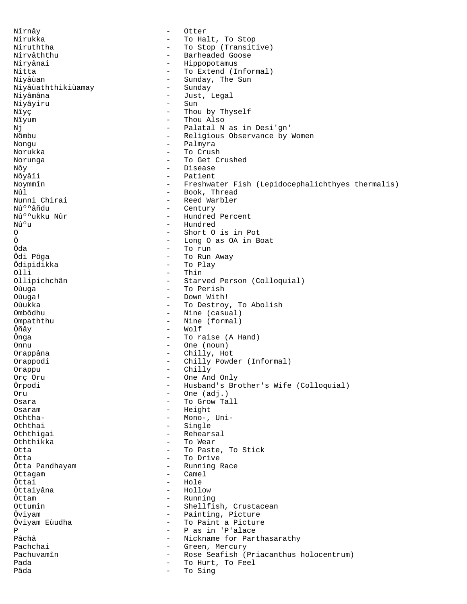Nîrnây - Otter Nirukka - To Halt, To Stop<br>Niruththa - To Stop (Transit - To Stop (Transitive) Nîrvâththu  $-$  Barheaded Goose Nîryânai - Hippopotamus<br>Nîtta - Ho Extend (II Nîtta - To Extend (Informal)<br>Niyâùan - Sunday, The Sun - Sunday, The Sun<br>- Sunday Niyâùaththikiùamay<br>Niyâmâna - Just, Legal<br>- Sun Niyâyiru Nîyç - Thou by Thyself Nîyum - Thou Also<br>Ni - Palatal N - Palatal N as in Desi'gn' Nômbu - Religious Observance by Women Nongu - Palmyra Norukka - To Crush Norunga - To Get Crushed Nôy - Disease Nôyâïi - Patient<br>Noymmîn - Freshwat Noymmîn - Freshwater Fish (Lepidocephalichthyes thermalis) Nûl - Book, Thread Nunni Chirai - Reed Warbler<br>Nûººâñdu - Century - Century Nûººâñdu - Century - Century<br>Nûººukku Nûr - Hundred Nûººukku Nûr - Hundred Percent - Hundred Percent - Hundred Percent - Hundred O - Short O is in Pot Ô - Long O as OA in Boat Ôda - To run Ôdi Pôga - To Run Away Ôdipidikka - To Play Olli<br>Ollipichchân - Thin<br>- Starv Ollipichchân - Starved Person (Colloquial)<br>Oùuqa - To Perish Oùuga - To Perish<br>Oùuga! - To Perish - Down With - Down With! Oùukka - To Destroy, To Abolish<br>Ombôdhu - To Destroy, To Abolish<br>- Nine (casual) - Nine (casual) Ompaththu - Nine (formal) Ôñây - Wolf - To raise (A Hand) Onnu - One (noun) Orappâna - Chilly, Hot Orappodi - Chilly Powder (Informal) Orappu - Chilly Orç Oru - One And Only - Husband's Brother's Wife (Colloquial) Oru - One (adj.) - To Grow Tall Osaram - Height Oththa- - Mono-, Uni-Oththai - Single Oththigai - Rehearsal Oththikka - To Wear Otta - To Paste, To Stick Ôtta - To Drive - Running Race Ottagam - Camel<br>Ôttai - Hole Ôttai - Hole Ôttaiyâna - Hollow Ôttam - Running - Running - Running - Running - Running - Running - Running - Running - Running - Running - Running - Running - Running - Running - Running - Running - Running - Running - Running - Running - Running - Runn - Shellfish, Crustacean Ôviyam - Painting, Picture Ôviyam Eùudha - To Paint a Picture<br>Pas in 'P'alace - P as in 'P'alace Pâchâ - Nickname for Parthasarathy Pachchai - Green, Mercury Pachuvamîn - Rose Seafish (Priacanthus holocentrum) Pada  $\begin{array}{cccc}\n\texttt{Pada} & \texttt{Pada} \\
\texttt{Pada} & \texttt{Pada}\n\end{array}$  - To Hurt, To Feel To Sing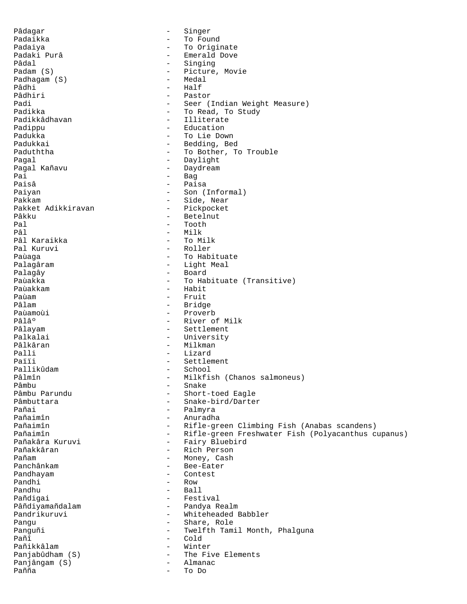Pâdagar - Singer Padaikka - To Found Padaiya - To Originate - Emerald Dove Pâdal - Singing - Picture, Movie<br>- Medal Padhagam (S)<br>Pâdhi Pâdhi - Half<br>Pâdhiri - Past - Pastor Padi - Seer (Indian Weight Measure)<br>Padikka - To Read To Study Padikka - To Read, To Study<br>Padikkâdhavan - Tiliterate - Illiterate Padippu - Education Padukka - To Lie Down Padukkai - Bedding, Bed Paduththa  $-$  To Bother, To Trouble Pagal - Daylight - Daydream Pai - Bag<br>Paisâ - Pais Paisâ - Paisa<br>Paiyan - Paisa - Paisa Paiyan - Son (Informal)<br>Pakkam - Side, Near - Side, Near<br>- Pickpocket Pakket Adikkiravan<br>Pâkku Pâkku - Betelnut<br>Pal - Tooth - Tooth Pal - Tooth - Milk<br>- To Milk Pâl Karaikka<br>Pal Kuruvi - Roller Paùaga  $-$  To Habituate Palagâram  $-$  Light Meal Palagây - Board Paùakka - To Habituate (Transitive)<br>Paùakkam - To Habit Paùakkam - Habit<br>Paùam - Habit - Habit Paùam - Fruit Pâlam - Bridge Paùamoùi - Proverb - River of Milk Pâlayam  $\overline{P}$  - Settlement Palkalai **-** University Pâlkâran - Milkman Palli - Lizard Païïi - Settlement<br>Pallikûdam - School - School Pallikûdam - School Pâlmîn - Milkfish (Chanos salmoneus) Pâmbu - Snake - Snake - Snake - Snake - Snake - Snake - Snake - Snake - Snake - Snake - Snake - Snake - Snake - Snake - Snake - Snake - Snake - Snake - Snake - Snake - Snake - Snake - Snake - Snake - Snake - Snake - Snake Pâmbu Parundu - Short-toed Eagle<br>Pâmbuttara - Snake-bird/Darte: - Snake-bird/Darter Pañai - Palmyra - Palmyra<br>Pañaimîn - Anuradha Pañaimîn - Anuradha - Anuradha - Anuradha - Anuradha - Anuradha - Anuradha - Anuradha - Anuradha - Anuradha - - Rifle-green Climbing Fish (Anabas scandens) Pañaimîn - Rifle-green Freshwater Fish (Polyacanthus cupanus) Pañakâra Kuruvi - Fairy Bluebird Pañakkâran - Rich Person Pañam - Money, Cash - Bee-Eater Pandhayam - Contest Pandhi - Row Pandhu - Ball - Ball - Ball - Fest - Festival Pâñdiyamañdalam - Pandya Realm Pandrikuruvi - Whiteheaded Babbler Pangu - Share, Role Panguñi - Twelfth Tamil Month, Phalguna Pañî - Cold Pañikkâlam - Winter - The Five Elements<br>- Almanac Panjângam (S) - Almanac Pañña - To Do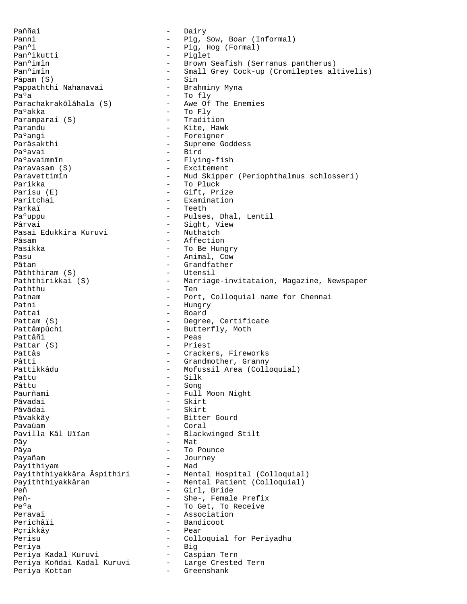Paññai - Dairy Panni  $-$  Pig, Sow, Boar (Informal) Panºi - Pig, Hog (Formal)<br>Panºikutti - Piglet - Piglet Panºimîn - Brown Seafish (Serranus pantherus)<br>Panºimîn - Small Grey Cock-up (Cromileptes al - Small Grey Cock-up (Cromileptes altivelis)<br>- Sin Pâpam (S)<br>Pappaththi Nahanavai Brahminy Myna Pappaththi Nahanavai Paºa - To fly Parachakrakôlâhala (S) Pa°akka - To Fly<br>Paramparai (S) - Tradition Paramparai (S) Parandu - Kite, Hawk Pa°angi - Foreigner Parâsakthi - Supreme Goddess Pa°avai - Bird<br>Pa°avaimmîn - Flyir - Flying-fish Paravasam (S)  $-$  Excitement Paravettimîn - Mud Skipper (Periophthalmus schlosseri) Parikka - To Pluck Parisu (E) - Gift, Prize<br>Paritchai - Examination - Examination Parkaï - Teeth - Pulses, Dhal, Lentil Pârvai - Sight, View<br>Pasai Edukkira Kuruvi - Nuthatch Pasai Edukkira Kuruvi Pâsam - Affection Pasikka - To Be Hungry Pasu - Animal, Cow Pâtan - Grandfather<br>Pâththiram (S) - Utensil Pâththiram (S) Paththirikkai (S) - Marriage-invitataion, Magazine, Newspaper Paththu - Ten Patnam  $\qquad \qquad -$  Port, Colloquial name for Chennai Patni - Hungry Pattai - Board Pattam (S) - Degree, Certificate<br>Pattâmpûchi - Butterfly, Moth - Butterfly, Moth Pattâñi - Peas Pattar (S) - Priest Pattâs - Crackers, Fireworks Pâtti - Grandmother, Granny Pattikkâdu - Mofussil Area (Colloquial) Pattu - Silk Pâttu - Song - Song - Song - Song - Song - Song - Song - Song - Song - Song - Song - Song - Song - Song - Song Paurñami - Full Moon Night<br>Pâvadai - Skirt - Skirt Pâvâdai - Skirt Pâvakkây - Bitter Gourd Pavaùam entre entre la coral de la coral Pavilla Kâl Uïïan - Blackwinged Stilt Pây - Mat Pâya  $-$  To Pounce Payañam - Journey<br>Payithiyam - Mad - Mad Payithiyam - Mad Payiththiyakkâra Âspithiri Payiththiyakkâran - - Mental Patient (Colloquial) Peñ - Girl, Bride<br>Peñ- - She- Female - She-, Female Prefix Pe°a  $-$  To Get, To Receive Peravai - Association Perichâïi - Bandicoot Pçrikkây - Pear Perisu - Colloquial for Periyadhu Periya - Big Periya Kadal Kuruvi - Caspian Tern Periya Koñdai Kadal Kuruvi - Large Crested Tern Periya Kottan - Greenshank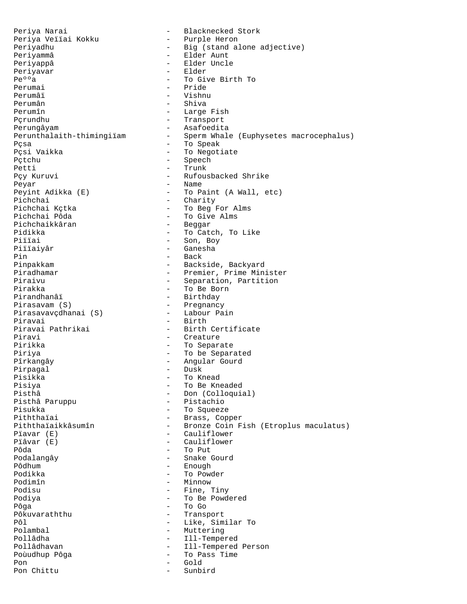Periya Veïïai Kokku - Purple Heron Periyammâ - Elder Aunt Periyappâ - Elder Uncle<br>Perivavar - Elder Periyavar<br>Pe°'a Pe<sup>o</sup>o<sub>a</sub> - To Give Birth To Perumai - To Give Birth To Perumai - Pride Perumân - Shiva Perumîn - Large Fish Pçrundhu - Transport Perungâyam<br>Perunthalaith-thimingiïam - Asafoedita<br>Perunthalaith-thimingiïam - Sperm Whale Pçsa - To Speak Pçtchu - Speech Petti - Trunk<br>Pçy Kuruvi - Rufou: Peyar - Name Pichchai - Charity<br>Pichchai Kctka - To Beq I Pichchai Kçtka - To Beg For Alms Pichchaikkâran<br>Pidikka Piïïai - Son, Boy Piïïaiyâr - Ganesha Pin - Back Pinpakkam - Backside, Backyard Pirakka - To Be Born Pirasavam (S)<br>
Pirasavavcdhanai (S) Labour Pain Pirasavavçdhanai (S) Piravai - Birth - Birth - Birth - Birth - Birth -Piravi - Creature Pirikka - To Separate Piriya  $-$  To be Separated Pîrkangây - Angular Gourd Pirpagal - Dusk Pisikka - To Knead Pisiya - To Be Kneaded Pisthâ Paruppu Pisukka - To Squeeze<br>Piththaiai - To Squeeze Piththaïai - Brass, Copper<br>Piththaïaikkâsumîn - Bronze Coin F Pïavar (E) - Cauliflower Pïâvar (E) - Cauliflower Pôda - To Put Pôdhum - Enough - Enough - Enough - Enough - Enough - Enough - Enough - Enough - Enough - Enough - Enough - Enough - Enough - Enough - Enough - Enough - Enough - Enough - Enough - Enough - Enough - Enough - Enough - Enough Podimîn - Minnow Podiya - To Be Powdered Pôga - To Go Pôkuvaraththu - Transport<br>Pôl - Like Sim Pôl - Like, Similar To<br>Polambal - Muttering Pollâdha - Ill-Tempered Poùudhup Pôga  $-$  To Pass Time Pon - Gold Pon Chittu

Periya Narai - - Blacknecked Stork Periyadhu  $-$  Big (stand alone adjective) - Vishnu - Sperm Whale (Euphysetes macrocephalus) - To Negotiate - Rufousbacked Shrike Peyint Adikka (E) - To Paint (A Wall, etc)<br>Pichchai - Charity - To Give Alms<br>- Beqqar - To Catch, To Like Piradhamar - Premier, Prime Minister<br>Piraivu - Separation, Partition Piraivu - Separation, Partition<br>Pirakka - To Be Born - Birthday - Birth Certificate - Don (Colloquial)<br>- Pistachio - Bronze Coin Fish (Etroplus maculatus) - Snake Gourd - To Powder - Fine, Tiny - Muttering Pollâdhavan - Ill-Tempered Person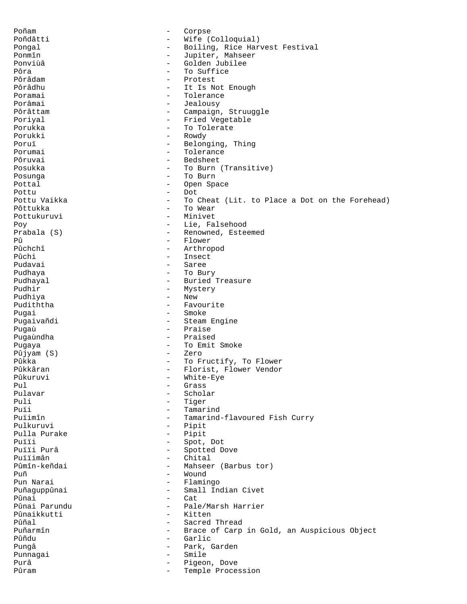Poñam e corpse Poñdâtti - Wife (Colloquial) Pongal  $-$  Boiling, Rice Harvest Festival Ponmîn - Jupiter, Mahseer Ponviùâ  $\begin{array}{cccc} - & - & - & - \\ - & - & - & - \\ 0 & - & - & - \\ - & - & - & - \\ 0 & - & - & - \end{array}$ Pôra - To Suffice<br>Pôrâdam - To Suffice<br>- Protest Pôrâdam - Protest Pôrâdhu - It Is Not Enough<br>Poramai - It Is Not Enough<br>Poramai - Tolerance - Tolerance Porâmai - Jealousy Pôrâttam - Campaign, Struuggle Poriyal  $-$  Fried Vegetable Porukka - To Tolerate Porukki - Rowdy Poruï - Belonging, Thing Porumai - Tolerance<br>
Pôruvai - Bedsheet<br>
- Bedsheet - Bedsheet Posukka - To Burn (Transitive)<br>Posunga - To Burn - To Burn Posunga - To Burn Pottal - Open Space Pottu - Dot - To Cheat (Lit. to Place a Dot on the Forehead) Pôttukka - To Wear Pottukuruvi - Minivet Poy - Lie, Falsehood - Renowned, Esteemed Pû - Flower<br>Pûchchî - Arthroj Pûchchî - Arthropod<br>Pûchi - Arthropod - Arthropod Pûchi - Insect - Saree Pudhaya - To Bury Pudhayal - Buried Treasure Pudhir - Mystery - New Pudiththa - Favourite Pugai - Smoke Pugaivañdi - Steam Engine Pugaù - Praise Pugaùndha - Praised Pugaya - To Emit Smoke Pûjyam (S)<br>Pûkka Pûkka - To Fructify, To Flower<br>Pûkkâran - To Florist, Flower Vendor Pûkkâran - Florist, Flower Vendor Pûkuruvi - White-Eye<br>Pul - Grass Pul - Grass Pulavar - Scholar Puli - Tiger<br>Puli - Temar Puïi - Tamarind<br>Puïimîn - Tamarind Puïimîn - Tamarind-flavoured Fish Curry<br>Pulkuruvi - Pipit - Pipit<br>- Pipit Pulla Purake Puïïi - Spot, Dot Puïïi Purâ - Spotted Dove Puïïimân - Chital Pûmîn-keñdai - Mahseer (Barbus tor)<br>Puñ - Mound - Mound Puñ - Wound Pun Narai - Flamingo Puñaguppûnai - Small Indian Civet<br>Pûnai - Cat Pûnai - Cat<br>Pûnai Parundu - - Pale - Pale/Marsh Harrier<br>- Kitten Pûnaikkutti<br>Pûñal Pûñal - Sacred Thread - Brace of Carp in Gold, an Auspicious Object Pûñdu - Garlic Pungâ - Park, Garden Punnagai - Smile Purâ - Pigeon, Dove Pûram  $\qquad \qquad -$  Temple Procession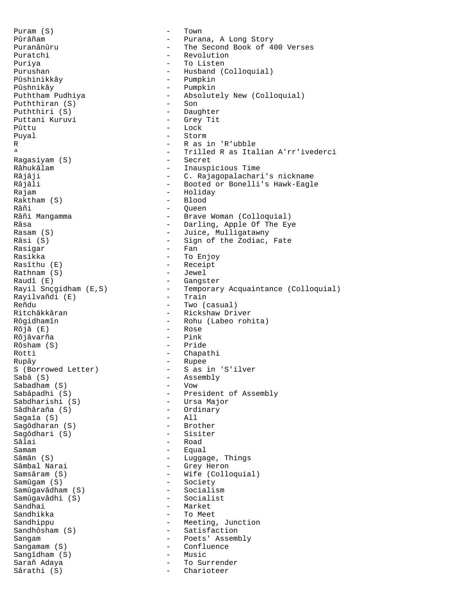$Puram(S)$  - Town Puratchi - Revolution Puriya  $-$  To Listen Pûshnikây - Pumpkin Puththiran  $(S)$ Puththiri (S) - Daughter Puttani Kuruvi Pûttu - Lock Puyal - Storm R - R as in 'R'ubble Ragasiyam (S)<br>Râhukâlam Râhukâlam - Inauspicious Time Raktham (S) Râñi 1988 - Queen<br>Râñi Mangamma 1988 - Brave Rasigar - Fan Rasikka - To Enjoy Rasîthu (E) - Receipt Rathnam (S)<br>Raudî (E) Raudî (E)<br>Rayil Snçgidham (E,S) - - - - - - - - Temporar Rayilvañdi (E)<br>Reñdu Ritchâkkâran - Rickshaw Driver Rôjâ (E) - Rose Rôjâvarña - Pink Rôsham (S)<br>Rotti Rotti - Chapathi<br>Rupây - Chapathi<br>- Rupee S (Borrowed Letter) - S as in 'S'ilver<br>
Sabâ (S) - Assembly Sabadham (S)<br>Sabâpadhi (S) Sâdhâraña (S) - Ordinary Sagaïa (S) - All Sagôdharan (S) - Brother Sagôdhari (S) Sâlai - Road<br>Samam - Equal Samam - Equal Sâmân (S) - Luggage, Things Sâmbal Narai - Grey Heron Samsâram (S) - Wife (Colloquial) Samûgavâdham (S) - Socialism Samûgavâdhi (S) Sandhai - Market Sandhikka - To Meet Sandhippu - Meeting, Junction Sandhôsham (S) - Satisfaction Sangam - Poets' Assembly Sangamam (S) - Confluence Sangîdham (S)<br>Sarañ Adava Sarañ Adaya **-** To Surrender Sârathi (S) - Charioteer

Pûrâñam - Purana, A Long Story Puranânûru - The Second Book of 400 Verses Purushan - Husband (Colloquial) - Pumpkin - Absolutely New (Colloquial)<br>- Son ª - Trilled R as Italian A'rr'ivederci Râjâji - C. Rajagopalachari's nickname<br>Râjâli - - - - - - - - Booted or Bonelli's Hawk-Eagl Râjâli - Booted or Bonelli's Hawk-Eagle<br>Rajam - Holiday - Holiday - Holiday<br>- Blood - Brave Woman (Colloquial) Râsa - Darling, Apple Of The Eye<br>Rasam (S) - Juice, Mulligatawny - Juice, Mulligatawny Râsi (S)  $-$  Sign of the Zodiac, Fate - Temporary Acquaintance (Colloquial)<br>- Train - Two (casual) Rôgidhamîn - Rohu (Labeo rohita)<br>Rôjâ (E) - Rose - Rupee - Assembly<br>- Vow Sabâpadhi (S) - President of Assembly<br>Sabdharishi (S) - - - - - Ursa Major - Ursa Major<br>- Ordinary - Society<br>- Socialism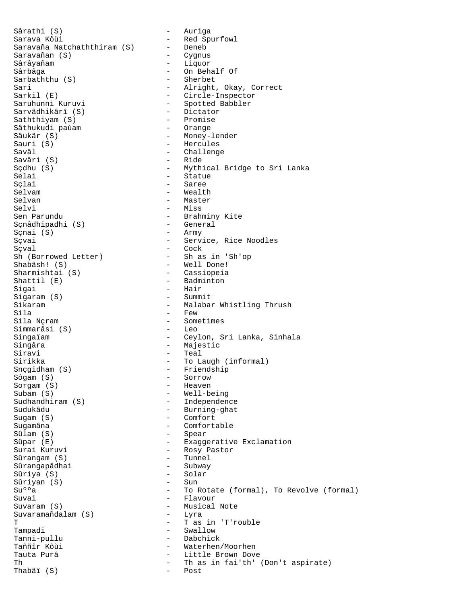Sârathi (S) - Auriga Sarava Kôùi - Red Spurfowl Saravaña Natchaththiram (S) - Deneb<br>Saravañan (S) - Cygnus  $Saravañan(S)$ Sârâyañam - Liquor Sarbaththu (S)<br>Sari Sari - Alright, Okay, Correct<br>Sarkil (E) - Circle-Inspector Sarkil (E) - Circle-Inspector Sarvâdhikârî (S) - Dictator Saththiyam (S) - Promise Sâthukudi paùam Sâukâr (S) - Money-lender Sauri (S) - Hercules Savâl - Challenge<br>Savâri (S) - Ride - Ride Savâri (S)<br>Sçdhu (S) Selai - Statue - Statue - Statue - Statue - Statue - Statue - Statue - Statue - Statue - Statue - Statue - Statue - Statue - Statue - Statue - Statue - Statue - Statue - Statue - Statue - Statue - Statue - Statue - Statue Sçlai - Saree - Saree - Saree - Saree - Saree - Saree - Saree - Saree - Saree - Saree - Saree - Sare Selvam - Wealth - Master Selvi - Miss Sçnâdhipadhi (S) - General (S) - General (S) - Army  $S$ çnai  $(S)$ Sçvai - Service, Rice Noodles Sçval - Cock Shabâsh! (S) - Well Done! Sharmishtai (S) - Cassiopeia<br>Shattil (E) - Badminton Shattil (E) - Badminton<br>Sigai - Hair - Hair<br>- Summit Sigaram (S) Sikaram - Malabar Whistling Thrush<br>Sila - Few - Few - Few - Few - Few - Few - Few - Few - Few - Few - Few - Few - Few - Few - Few - Few - Few - Few - Few - Few - Few - Few - Few - Few - Few - Few - Few - Few - Few - Few - Sila - Few - Few - Few - Few - Some - Sometimes<br>- Leo Simmarâsi (S) Singaïam  $-$  Ceylon, Sri Lanka, Sinhala Singâra - Majestic Siravi - Teal Sirikka - To Laugh (informal)<br>Snçgidham (S) - Friendship Snçgidham (S) - Friendship<br>Sôgam (S) - Sorrow - Sorrow - Sorrow<br>- Heaven Sorgam (S)<br>Subam (S) Subam (S) - Well-being Sudukâdu - Burning-ghat Sugam (S) - Comfort Sugamâna - Comfortable Sûlam (S) - Spear Sûpar (E)<br>Surai Kuruvi - Exaggerative Exclamation<br>- Rosy Pastor Sûrangam (S) - Tunnel Sûrangapâdhai - Subway Sûriya (S) - Solar Sûriyan (S)<br>Su°°a Suvai - Flavour Suvaram (S) - Musical Note  $Suvaramañdalam (S)$ T - T as in 'T'rouble Tampadi - Swallow Tanni-pullu - Dabchick Tauta Purâ - Little Brown Dove<br>Thas in fai'th' Thabâï  $(S)$ 

- On Behalf Of<br>- Sherbet - Spotted Babbler<br>- Dictator - Mythical Bridge to Sri Lanka - Brahminy Kite<br>- General - Sh as in 'Sh'op - Independence - Rosy Pastor<br>- Tunnel - To Rotate (formal), To Revolve (formal) - Waterhen/Moorhen - Th as in fai'th' (Don't aspirate)<br>- Post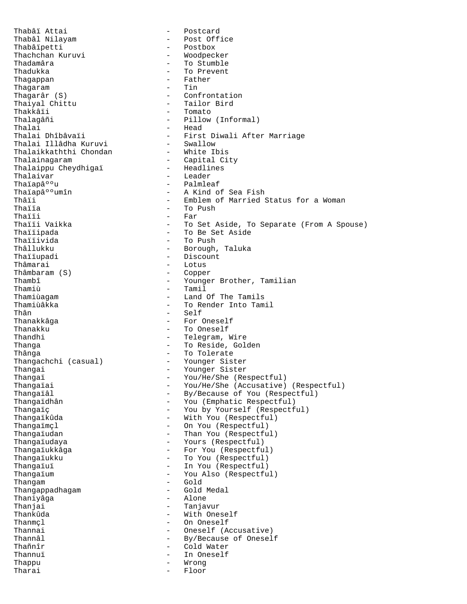Thabâï Attai - Postcard Thabâl Nilayam - Post Office Thachchan Kuruvi<br>Thadamâra Thadamâra<br>Thadukka - To Stumble<br>Thadukka - To Prevent Thagappan - Father - Father - Father - Father - Father - Father - Father - Father - Father - Father - Final - Tin Thagaram<br>Thagarâr (S) Thagarâr (S) - Confrontation Thaiyal Chittu - Tailor Bird Thalagâñi - Pillow (Informal) Thalai - Head Thalai Dhîbâvaïi - First Diwali After Marriage Thalai Illâdha Kuruvi - Swallow Thalaikkaththi Chondan - White Ibis Thalainagaram - Capital City<br>Thalaippu Cheydhigai - Headlines Thalaippu Cheydhigaï<br>Thalaivar Thalaivar - Leader Thaïap⺺u - Palmleaf<br>Thaïap⺺umîn - A Kind o Thaïap⺺umîn - A Kind of Sea Fish<br>Thâii - Emblem of Married Thâii - Emblem of Married Status for a Woman<br>Thaiia - To Push - To Push Thaiïa  $\overline{r}$  - To Push  $\overline{r}$  - To Push  $\overline{r}$ Thaïïi - Far<br>Thaïïi Vaikka - To : Thaïïi Vaikka Thaïïivida - To Push Thâllukku - Borough, Taluka Thaïïupadi - Discount Thâmbaram (S)<br>Thambî Thambî - Younger Brother, Tamilian<br>Thamiù - Tamil - Tamil Thamiù<br>
Thamiùaqam<br>
Thamiùaqam<br>
Thamiùaqam<br>
Thamiù Thamiùagam - Land Of The Tamils Thamiùâkka - To Render Into Tamil<br>Thân - Self Thân - Self<br>Thanakkâqa - Thanakkâqa - For Thanakku - To Oneself Thandhi - Telegram, Wire Thanga **-** To Reside, Golden Thânga<br>Thangachchi (casual) - To Tolerate<br>- Younger Sister Thangachchi (casual)<br>Thangai Thangai - Younger Sister<br>Thangai - Younger Sister<br>- You/He/She (Read) Thangaï - You/He/She (Respectful)<br>Thangaïai - You/He/She (Accusative) Thangaïai - You/He/She (Accusative) (Respectful)<br>Thangaïâl - By/Because of You (Respectful) Thangaïâl - By/Because of You (Respectful)<br>Thangaïdhân - You (Emphatic Respectful) Thangaïç - You by Yourself (Respectful)<br>Thangaïkûda - - With You (Respectful) Thangaïkûda - With You (Respectful)<br>Thangaïmcl - - On You (Respectful) Thangaïudan - Than You (Respectful) Thangaïudaya  $\qquad \qquad -$  Yours (Respectful) Thangaïukkâga - For You (Respectful)<br>Thangaïukku - To You (Respectful) Thangaïukku - To You (Respectful)<br>Thangaïuï - The You (Respectful) Thangaïuï - In You (Respectful)<br>Thangaïum - You Also (Respectfu Thangam - Gold Thangappadhagam - Gold Medal - Gold Medal - Gold Medal - Gold Medal - Gold Medal - Alone Thaniyâga Thanjai - Tanjavur Thankûda - With Oneself Thanmcl - On Oneself Thannai - Oneself (Accusative) Thannâl - By/Because of Oneself<br>Thañnîr - Cold Water Thannuï - In Oneself Thappu - Wrong Tharai - Floor

- Postbox<br>- Woodpecker - To Prevent<br>- Father - Tomato Thaïïi Vaikka - To Set Aside, To Separate (From A Spouse) - To Be Set Aside - Lotus<br>- Copper - For Oneself - You (Emphatic Respectful) - On You (Respectful) - You Also (Respectful) - Cold Water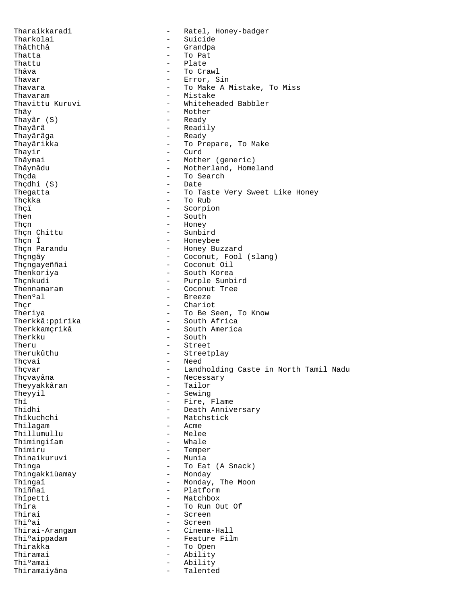Tharaikkaradi - Ratel, Honey-badger Tharkolai - Suicide - Grandpa Thatta - To Pat Thattu - Plate Thâva - To Crawl Thavar - Error, Sin Thavara - To Make A Mistake, To Miss<br>Thavaram - To Mistake - Mistake - Mistake Thavaram - Mistake - Whiteheaded Babbler Thây - Mother<br>Thavâr (S) - - Ready - Ready Thayâr (S)<br>Thayârâ - Readily Thayârâga - Ready Thayârikka - To Prepare, To Make Thayir<br>Thayir - Curd - Curd Thayir - Curd<br>Thâymai - Mothe Thâymai - Mother (generic)<br>Thâynâdu - Motherland, Home Thâynâdu - Motherland, Homeland<br>Thạc - Motherland, Homeland<br>Thạc - To Search - To Search<br>- Date Thçdhi (S)<br>Thegatta Thegatta - To Taste Very Sweet Like Honey<br>Thçkka - To Rub - To Rub - To Rub Thçi<br>Then - Scorpion<br>- South - South - South Thạn - Honey - Honey - Honey - Honey - Honey - Honey - Honey - Honey - Honey - Honey - Honey - Honey - Honey - Honey - Honey - Honey - Honey - Honey - Honey - Honey - Honey - Honey - Honey - Honey - Honey - Honey - Honey -Thạn Chittu<br>Thạn Î Thçn Î - Honeybee<br>Thçn Parandu - - Honey Bu: - Honey Buzzard Thçngây - Coconut, Fool (slang)<br>Thçngayeññai - Coconut Oil Thçngayeññai - Coconut Oil<br>Thenkoriya - - South Korea Thenkoriya - South Korea Thçnkudi<br>
Thennamaram<br>
Thennamaram<br>
- Coconut Tree Thennamaram - Coconut Tree<br>Then<sup>o</sup>al - Breeze - Breeze Ther - Chariot Theriya - To Be Seen, To Know<br>Therkkâ: ppirika - To Be South Africa Therkkâ:ppirika<br>Therkkamcrikâ - South America Therkku - South Theru - Street<br>Therukûthu - Street Therukûthu - Streetplay<br>Thçvai - Streetplay<br>- Need Thçvai - Need Thçvar - Landholding Caste in North Tamil Nadu<br>Thçvayâna - Necessary - Necessary - Necessary<br>- Tailor Theyyakkâran<br>Theyyil Theyyil - Sewing<br>Thî - Tire I Thî - Fire, Flame<br>Thidhi - Fire, Flame Thidhi - Death Anniversary<br>Thîkuchchi - Matchstick<br>- Matchstick - Matchstick<br>- Acme Thilagam - Acme<br>Thillumullu - Melee Thillumullu - Melee - Melee - Melee - Male Thimingiïam<br>Thimiru - Temper<br>- Munia Thinaikuruvi Thinga<br>Thingakkiùamay - To Eat (A Snack)<br>- Monday Thingakkiùamay<br>Thingaï Thingaï - Monday, The Moon<br>Thiññai - Monday, The Moon Thiññai - Platform - Platform - Platform - Platform - Platform - Platform - Platform - Platform - Platform - Platform - Platform - Platform - Platform - Platform - Platform - Platform - Platform - Platform - Platform - Pla Thîpetti - Matchbox<br>Thîra - To Run Ol Thîra - To Run Out Of Thirai Thirai - Screen<br>Thi°ai - Screen<br>- Screen - Screen<br>- Cinema-Hall Thirai-Arangam Thiºaippadam - Feature Film<br>Thirakka - To Open Thirakka - To Open<br>Thiramai - Ability Thiramai - Ability<br>Thi°amai - Ability - Ability<br>- Talente Thiramaiyâna - Talented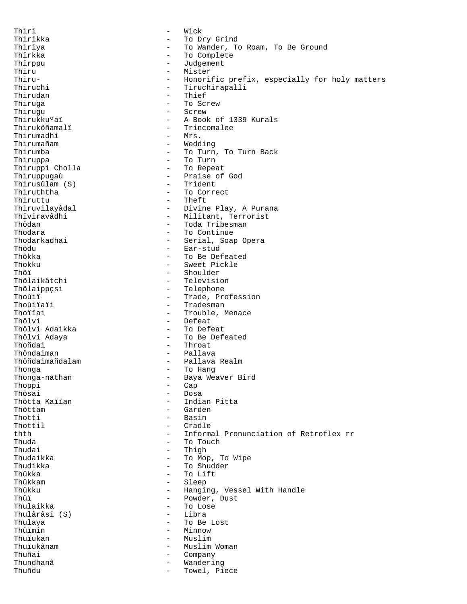Thiri - Wick Thirikka - To Dry Grind Thiriya - To Wander, To Roam, To Be Ground Thîrkka - To Complete<br>Thîrppu - To Complete<br>Thîrppu - Judgement Thîrppu - Judgement - Judgement - Judgement - Judgement - Judgement - Judgement - Judgement - Judgement - Judgement - Judgement - Judgement - Judgement - Judgement - Judgement - Judgement - Judgement - Judgement - Judgemen Thiru - Mister Thiru-<br>
- Honorific prefix, especially for holy matters<br>
Thiruchi Thiruchi - Tiruchirapalli<br>Thirudan - Thief - Thief - Thief Thiruga - To Screw Thirugu - Screw - Screw - Screw - Screw - Screw - Screw - A Book Thirukkuºaï - A Book of 1339 Kurals<br>Thirukôñamalî - Trincomalee - Trincomalee<br>- Mrs. Thirumadhi Thirumañam - Wedding Thirumba - To Turn, To Turn Back - To Turn<br>- To Repeat Thiruppi Cholla<br>Thiruppugaù - Praise of God<br>- Trident Thirusûlam (S)<br>Thiruththa Thiruththa - To Correct<br>Thiruttu - Theft - Theft Thiruttu - Theft<br>Thiruvilayâdal - - Divine Thiruvilayâdal - Divine Play, A Purana<br>Thîviravâdhi - - Militant, Terrorist Thîviravâdhi - Militant, Terrorist<br>Thôdan - Toda Tribesman Thôdan - Toda Tribesman - Toda Tribesman - Toda Tribesman - Toda Tribesman - Toda Tribesman - Toda Tribesman -- To Continue Thodarkadhai - Serial, Soap Opera<br>Thôdu - Ear-stud Thôdu - Ear-stud Thôkka - To Be Defeated<br>Thokku - To Be Defeated<br>- Sweet Pickle Thokku - Sweet Pickle<br>Thôi - Shoulder<br>- Shoulder Thôï - Shoulder Thôlaikâtchi - Television<br>Thôlaippçsi - Telephone - Telephone Thôlaippçsi - Telephone Thoùiï - Trade, Profession<br>Thoùiïaïi - Tradesman<br>- Tradesman Thoùiïaïi - Tradesman<br>Thoïïai - Trouble N Thoïïai - Trouble, Menace<br>Thôlvi - Defeat - Defeat<br>- To Defeat Thôlvi Adaikka<br>Thôlvi Adaya - To Be Defeated Thoñdai - Throat Thôndaiman - Pallava<br>Thôñdaimañdalam - Pallava Thôñdaimañdalam - Pallava Realm Thonga - To Hang Thonga-nathan - Baya Weaver Bird<br>Thoppi - Cap Thoppi - Cap<br>Thôsai - Dosa Thôsai - Dosa Thôtta Kaïïan - Indian Pitta<br>Thôttam - Garden - Garden Thotti - Basin - Cradle thth - Informal Pronunciation of Retroflex rr Thuda - To Touch Thudai - Thigh<br>Thudaikka - Thuman - To Mor Thudaikka - To Mop, To Wipe Thudikka - To Shudder Thûkka - To Lift<br>Thûkkam - To Lift<br>- Sleep Thûkkam - Sleep Thûkku - Hanging, Vessel With Handle<br>Thûi - Hanging, Vessel With Handle - Powder, Dust Thulaikka - To Lose Thulârâsi (S) Thulaya - To Be Lost - Minnow Thuïukan - Muslim Thuïukânam - Muslim Woman<br>Thuñai - Company - Company - Company Thundhanâ **-** Wandering Thuñdu - Towel, Piece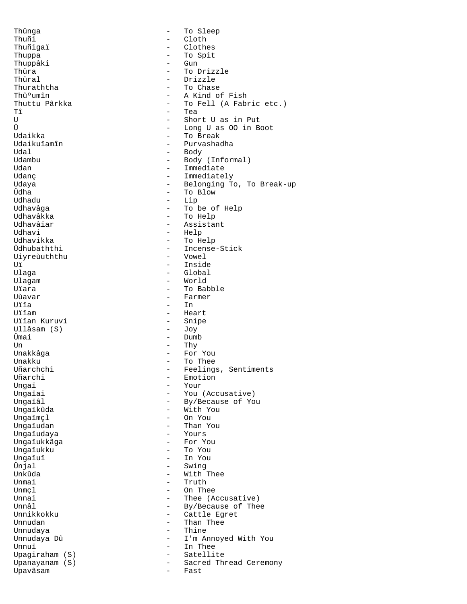Thûnga - To Sleep Thuñi - Cloth<br>Thuñigai - Cloth Thuñigaï - Clothes<br>Thuppa - Clothes<br>- To Spit - To Spit<br>- Gun Thuppâki – Gundês († 1852)<br>Thûra – Gundês († 1852) Thûra - To Drizzle<br>Thûral - To Drizzle Thûral - Drizzle Thuraththa  $\begin{array}{ccc}\n\text{Thuraththa} & - & \text{To Chase} \\
\text{Thû°umîn} & - & \text{A Kind o}\n\end{array}$ Thûºumîn - A Kind of Fish<br>Thuttu Pârkka - - - - - - - - - To Fell (A Fab Thuttu Pârkka - To Fell (A Fabric etc.)<br>
Tô Tea  $T$ î  $-$  Tea<br>
II - Shoi U<br>
U - Short U as in Put<br>  $\hat{U}$  - Long U as 00 in B - Long U as 00 in Boot Udaikka - To Break Udaikuïamîn - Purvashadha Udal - Body Udambu - Body (Informal)<br>Udan - Immediate Udan - Immediate Udanç - Immediately Udaya - Belonging To, To Break-up<br>Udaya - To Blow - To Blow Ûdha - To Blow - To Blow - To Blow - To Blow - To Blow - To Blow - To Blow - To Blow - To Blow - To Blow - To Blow - To Blow - To Blow - To Blow - To Blow - To Blow - To Blow - To Blow - To Blow - To Blow - To Blow - To Bl Udhadu - Lip<br>Udhavâga - College - College - College - College - College - College - College - College - College - College -Udhavâga - To be of Help Udhavâkka - To Help Udhavâïar - Assistant<br>Udhavi - Help - Help Udhavikka - To Help - Incense-Stick<br>- Vowel Uiyreùuththu - Vowel Uï - Inside Global Ulagam - World Uïara - To Babble - To Babble<br>Uùavar - Tarmer - Tarmer Uùavar - Farmer Uïïa - In<br>Ilijam - Hea - Heart<br>- Snipe Uïïan Kuruvi - Snipe Ullâsam (S) Ûmai - Dumb Un - Thy Unakkâga - For You Unakku - To Thee Uñarchchi - Feelings, Sentiments<br>Uñarchi - - Emotion Uñarchi - Emotion<br>Ungai - Your Ungaï - Your - Your<br>Ungaïai - You Ungaïai - You (Accusative)<br>Ungaïâl - You - By/Because of You Ungaïâl - By/Because of You Ungaïkûda - With You Ungaïmçl - On You - Than You<br>- Yours Ungaïudaya Ungaïukkâga - For You Ungaïukku<br>Ungaïuï Ungaïuï - In You Ûnjal - Swing - Swing - Swing - Swing - Swing - Swing - Swing - Swing - Swing - Swing - Swing - Swing - Swing <br>- Swing - Swing - Swing - Swing - Swing - Swing - Swing - Swing - Swing - Swing - Swing - Swing - Swing - Swing Unkûda - With Thee<br>Unmai - With Thee Unmai - Truth<br>Unmcl - On The Unmçl - On Thee Unnai - Thee (Accusative)<br>
Innâl - By/Because of The Unnâl - By/Because of Thee<br>
Innikkokku - Cattle Egret Unnikkokku - Cattle Egret<br>Unnudan - Cattle Egret<br>- Than Thee Unnudan - Than Thee - Thine Unnudaya Dû - I'm Annoyed With You<br>Innui Unnuï - In Thee Upagiraham (S)<br>Upanayanam (S) - Sacred Thread Ceremony<br>- Fast Upavâsam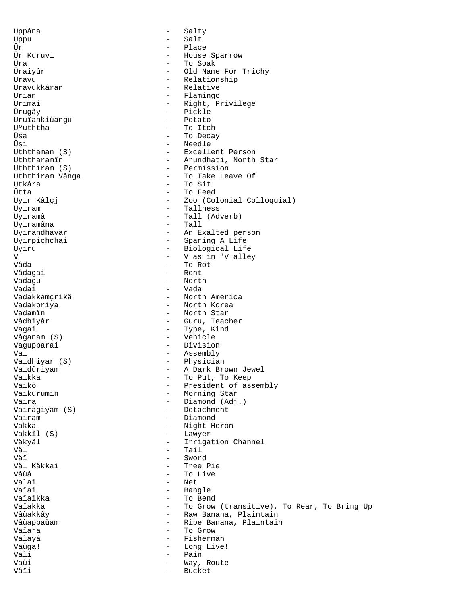Uppâna - Salty Uppu - Salt Ûr - Place Ûr Kuruvi - House Sparrow Ûra - To Soak Ûraiyûr - Old Name For Trichy Uravu - Relationship<br>Uravukkâran - Relative - Relative Uravukkâran - Relative - Relative - Relative - Relative - Relative - Relative - Relative - Relative - Relative Urian - Flamingo<br>Irimai - Flamingo - Flamingo Urimai - Right, Privilege<br>Ûruqâv - Pickle - Pickle<br>- Potato Uruïankiùangu<br>U°uththa - To Itch Ûsa - To Decay Ûsi - Needle<br>Uththaman (S) - Excelle Uththaman (S) - Excellent Person Uththaramîn - Arundhati, North Star<br>Uththiram (S) - Permission Uththiram (S) - Permission Uththiram Vânga - To Take Leave Of Utkâra - To Sit<br>Ûtta - To Feed Ûtta - To Feed - Zoo (Colonial Colloquial) Uyiram - Tallness Uyiramâ - Tall (Adverb)<br>Uyiramâna - Tall (Adverb) Uyiramâna<br>Uyirandhavar - An Exalted person Uyirpichchai - Sparing A Life Uyiru - Biological Life<br>
V - V as in 'V'aller V - V as in 'V'alley Vâda - To Rot - To Rot - To Rot - To Rot - To Rot - To Rot - To Rot - To Rot - To Rot - To Rot - To Rot - To Rot - To Rot - To Rot - To Rot - To Rot - To Rot - To Rot - To Rot - To Rot - To Rot - To Rot - To Rot - To Rot -Vâdagai - Rent Vadagu - North Vadai - Vada - North America Vadakoriya - North Korea Vadamîn - North Star Vâdhiyâr - Guru, Teacher Vagai  $\overline{\phantom{a}}$  - Type, Kind Vâganam (S) - Vehicle Vagupparai - Division Vai - Assembly Vaidhiyar (S) - Physician Vaidûriyam - A Dark Brown Jewel Vaikka - To Put, To Keep<br>Vaikô - To President of as Vaikô<br>
Vaikurumîn<br>
Vaikurumîn<br>
Vaikurumîn<br>
Vaikurumîn<br>
Vaiko - President of assembly Vaikurumîn - Morning Star<br>Vaira - Diamond (Adj - Diamond (Adj.) Vairâgiyam (S) - Detachment Vairam - Diamond - Night Heron Vakkîl (S) - Lawyer Vâkyâl - Irrigation Channel<br>Vâl - Tail - Tail Vâl - Tail - Tail - Tail - Tail - Tail - Tail - Swor Vâï - Sword Vâl Kâkkai - Tree Pie Vâùâ - To Live<br>Valai - To Live<br>- Net Valai - Net<br>Valai - Net - Net Vaïai - Bangle<br>Vaïaikka - - - - - - - - - - - - - - To Ben Vaïaikka - To Bend Vaïakka - To Grow (transitive), To Rear, To Bring Up Vâùakkâv - To Raw Banana, Plaintain - Raw Banana, Plaintain Vâùappaùam  $\qquad \qquad -$  Ripe Banana, Plaintain Vaïara - To Grow Valayâ - Fisherman Vaùga! - Long Live! Vali - Pain Vaùi - Way, Route<br>Vâii - - - - - - - - - - - - - Bucket - Bucket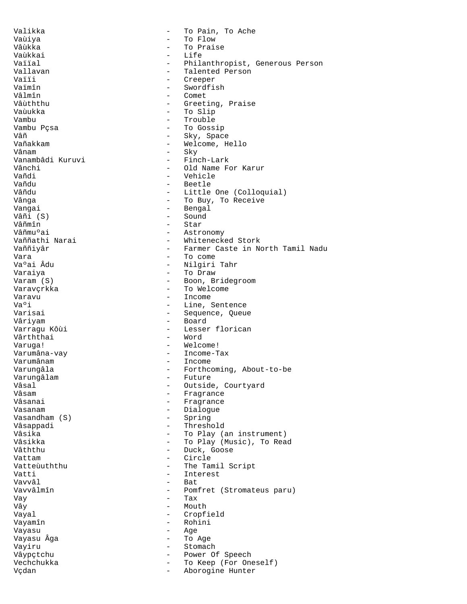Valikka - To Pain, To Ache Vaùiya - To Flow - To Praise<br>- Life Vaùkkai <del>- Life ann an Life ann an Life ann an Life ann an Life ann an Life ann an Life ann an Life ann an Life ann an Life ann an Life ann an Life ann an Life ann an Life ann an Life ann an Life ann an Life ann an Life an</del> Vaïïal - Philanthropist, Generous Person<br>Vallavan - Talented Person Vallavan - Talented Person Vaïïi - Creeper<br>Vaïmîn - Swordfi Vaïmîn - Swordfish<br>Vâlmîn - Comet Vâlmîn - Comet<br>Vâùththu - Greet - Greeting, Praise Vaùukka - To Slip Vambu - Trouble Vambu Posa - Trouble Vambu Posa - Trouble - Trouble Vambu Posa - Trouble Vambu Posa - Trouble V<br>- To Goss - To Gossip Vâñ  $-$  Sky, Space Vañakkam - Welcome, Hello - Sky<br>- Finch-Lark Vanambâdi Kuruvi<br>Vânchi Vânchi - Old Name For Karur<br>Vañdi - Vehicle Vañdi - Vehicle<br>Vañdu - Beetle Vañdu - Beetle Vâñdu - Little One (Colloquial)<br>Vânga - Colloquial - To Buy, To Receive - To Buy, To Receive Vangai - Bengal Vâñi (S) - Sound<br>Vâñmîn - Star Vâñmîn - Star<br>Vâñmuºai - Astro Vâñmuºai - Astronomy<br>Vaññathi Narai - Mhiteneck - Whitenecked Stork Vaññiyâr - Farmer Caste in North Tamil Nadu Vara - To come - Nilgiri Tahr Varaiya - To Draw - Boon, Bridegroom Varavçrkka - To Welcome Varavu - Income<br>Va<sup>o</sup>i - Line S Va<sup>o</sup>i - Line, Sentence<br>Varisai - Sequence Oueu - Sequence, Queue Vâriyam - Board - Lesser florican Vârththai - Word Varuga! - Welcome! Varumâna-vay **- Income-Tax** Varumânam - Income Varungâla  $\qquad \qquad \qquad -$  Forthcoming, About-to-be Varungâlam - Future Vâsal - Outside, Courtyard<br>Vâsam - Fragrance Vâsam - Fragrance - Fragrance Vasanam - Dialogue Vasandham  $(S)$ Vâsappadi - Threshold Vâsika  $\qquad \qquad \qquad -$  To Play (an instrument) Vâsikka - To Play (Music), To Read<br>Vâththu Vâththu - Duck, Goose - Circle Vatteùuththu - The Tamil Script<br>Vatti - Therest Vatti - Interest<br>Vavyâl - Bat Vavvâl - Bat - Pomfret (Stromateus paru) Vay - Tax Vây - Mouth - Cropfield Vayamîn - Rohini Vayasu - Age Vayasu Âga - To Age Vayiru - Stomach Vâypçtchu - Power Of Speech Vechchukka - To Keep (For Oneself)<br>Vechan - To Keep (For Oneself) Vçdan - Aborogine Hunter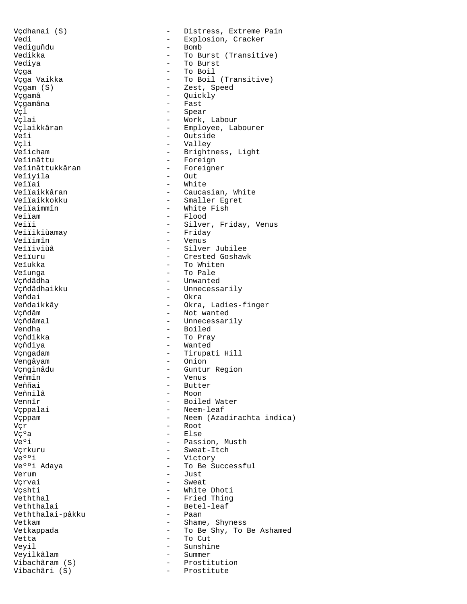Vçdhanai (S) - - Distress, Extreme Pain Vedi - Explosion, Cracker<br>Vediquñdu - Homb - Bomb Vediguñdu<br>Vedikka Vediya - To Burst Vçga - To Boil Vçga Vaikka - To Boil (Transitive) Vçgam (S) - Zest, Speed Vçgamâna - Fast Vçl - Spear Vçlaikkâran - Employee, Labourer Veïi - Outside Vçli - Valley Veïicham - Brightness, Light<br>
Veïinâttu - Foreign Veïinâttu - Foreign<br>Veïinâttukkâran - Foreigne Veïiyila<br>Veïïai Veïïai - White<br>Veïïaikkâran - Mite - Cauca Veïïaikkâran - Caucasian, White<br>Veïïaikkokku - - Smaller Eqret Veïïaikkokku - Smaller Egret Veïïaimmîn - White Fish<br>Veïïam - Flood Veïïam - Flood<br>Veïïi - Silver Veïïikiùamay Veïïimîn - Venus Veïïiviùâ - Silver Jubilee<br>Veïïuru - - Crested Goshaw Veïïuru - Crested Goshawk<br>Veïukka - Crested Goshawk<br>- To Whiten Veïunga  $-$  To Pale Vçñdâdha - Unwanted Vçñdâdhaikku - Unnecessarily<br>Veñdai - Okra Veñdaikkây - Okra, Ladies-finger Vçñdâm - Not wanted Vçñdâmal - Unnecessarily<br>Vendha - - Boiled Vçñdikka - To Pray Vçñdiya - Wanted Vçngadam - Tirupati Hill Vengâyam - Onion Vçnginâdu - Guntur Region Veñmîn - Venus<br>Veññai - Putter - Venus Veññai - Butter<br>Veñnilâ - Moon - Moon Veñnilâ - Moon<br>Vennîr - Boile Vennîr - Boiled Water Vçppam - Neem (Azadirachta indica) Vçr - Root  $V\zeta^0$ a - Else Ve°i - Passion, Musth Vçrkuru - Sweat-Itch<br>Ve°°i - Sweat-Itch Ve°°i - Victory - Victory - Victory - Victory - Victory - Victory - Victory - Victory - Victory - Victory - Victory - Victory - Victory - Victory - Victory - Victory - Victory - Victory - Victory - Victory - Victory - Vict Verum - Just Vçrvai - Sweat Vçshti - White Dhoti<br>Veththal - Fried Thing Veththalai - Betel-leaf<br>Veththalai-pâkku - Paan - Paan Veththalai-pâkku Vetkam  $\overline{\phantom{a}}$  - Shame, Shyness Vetkappada  $-$  To Be Shy, To Be Ashamed Vetta - To Cut Veyil - Sunshine Veyilkâlam - Summer Vibachâri (S)

- To Burst (Transitive) - Quickly - Work, Labour - Foreigner<br>- Out - Silver, Friday, Venus<br>- Friday - To Whiten - Okra - Boiled - Neem-leaf - To Be Successful - Fried Thing - Prostitution<br>- Prostitute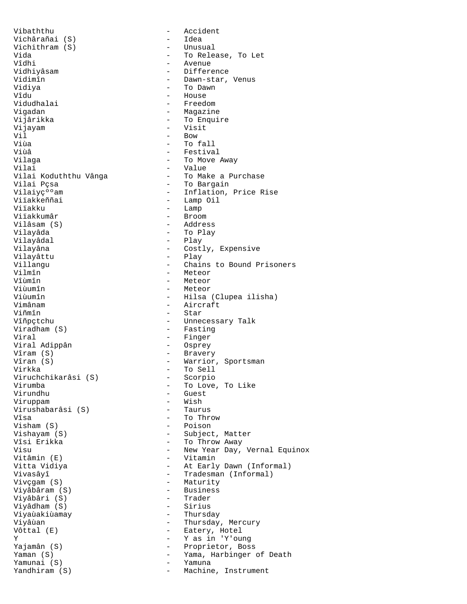Vibaththu - Accident Vichârañai (S) - Idea Vichithram (S)<br>Vida Vida - To Release, To Let Vîdhi - Avenue Vidhiyâsam - Difference<br>Vidimîn - Dawn-star, Vidimîn - Dawn-star, Venus Vidiya - To Dawn Vidudhalai<br>Viqadan Vigadan - Magazine Vijayam - Visit Vil **b** a Bow **b** a Bow **b** a Bow **b** Viùa - To fall Viùâ - Festival<br>Vilaga - Component - To Move Vilaga - To Move Away Vilai - Value Vilai Koduththu Vânga - To Make a Purchase Vilai Pçsa - To Bargain Vilaiy纺am - Inflation, Price Rise Viïakkeññai - Lamp Oil<br>Viïakku - Lamp Oil Viïakku - Lamp<br>Viïakkumâr - Broom Vilâsam (S)<br>Vilayâda Vilayâdal - Play<br>Vilayâna - Cost Vilayâttu<br>Villangu Villangu - Chains to Bound Prisoners<br>Vilmîn - Meteor - Meteor Vilmîn - Meteor<br>Vîùmîn - Meteor Vîùmîn - Meteor Viùumîn - Meteor Viùumîn - Hilsa (Clupea ilisha)<br>Vimânam - - - - - - - - Aircraft Vimânam - Aircraft<br>Viñmîn - Aircraft Viñmîn - Star Vîñpçtchu - Unnecessary Talk<br>Viradham (S) - Fasting - Fasting Viral - Finger Viral Adippân<br>Vîram (S)  $V$ îram  $(S)$  - Bravery<br>  $V$ îran  $(S)$  - Warrior Virkka - To Sell Viruchchikarâsi (S)<br>Virumba Virumba - To Love, To Like Viruppam - Wish Virushabarâsi (S)<br>Vîsa Visham  $(S)$ Vishayam (S) - Subject, Matter vîsi Erikka - To Throw Away Vitâmin (E) - Vitamin Vitta Vidiya - At Early Dawn (Informal) Vivasâyî - Tradesman (Informal)<br>Vivçgam (S) - Maturity - Maturity Viyâbâram (S) - Business Viyâbâri (S) - Trader Viyâdham (S) - Sirius Viyaùakiùamay<br>Viyâùan Viyâùan - Thursday, Mercury<br>Vôttal (E) - Thursday, Hotel Y - Y as in 'Y'oung Yaman (S) - Yama, Harbinger of Death Yamunai (S) - Yamunai (S) - Yandhiram (S) - Yandhiram (S) - Yandhiram (S) - Yandhiram (S) - Yandhiram (S) - Yandhiram (S) - Yandhiram (S) - Yandhiram (S) - Yandhiram (S) - Yandhiram (S) - Yandhiram (S) - Yandhiram (S) - Ya Yandhiram (S)  $-$  Machine, Instrument

- House<br>- Freedom - To Enquire - Broom<br>- Address - To Play - Costly, Expensive<br>- Play - Fasting - Warrior, Sportsman - Guest<br>- Wish - To Throw<br>- Poison Visu - New Year Day, Vernal Equinox - Maturity<br>- Business - Eatery, Hotel - Proprietor, Boss